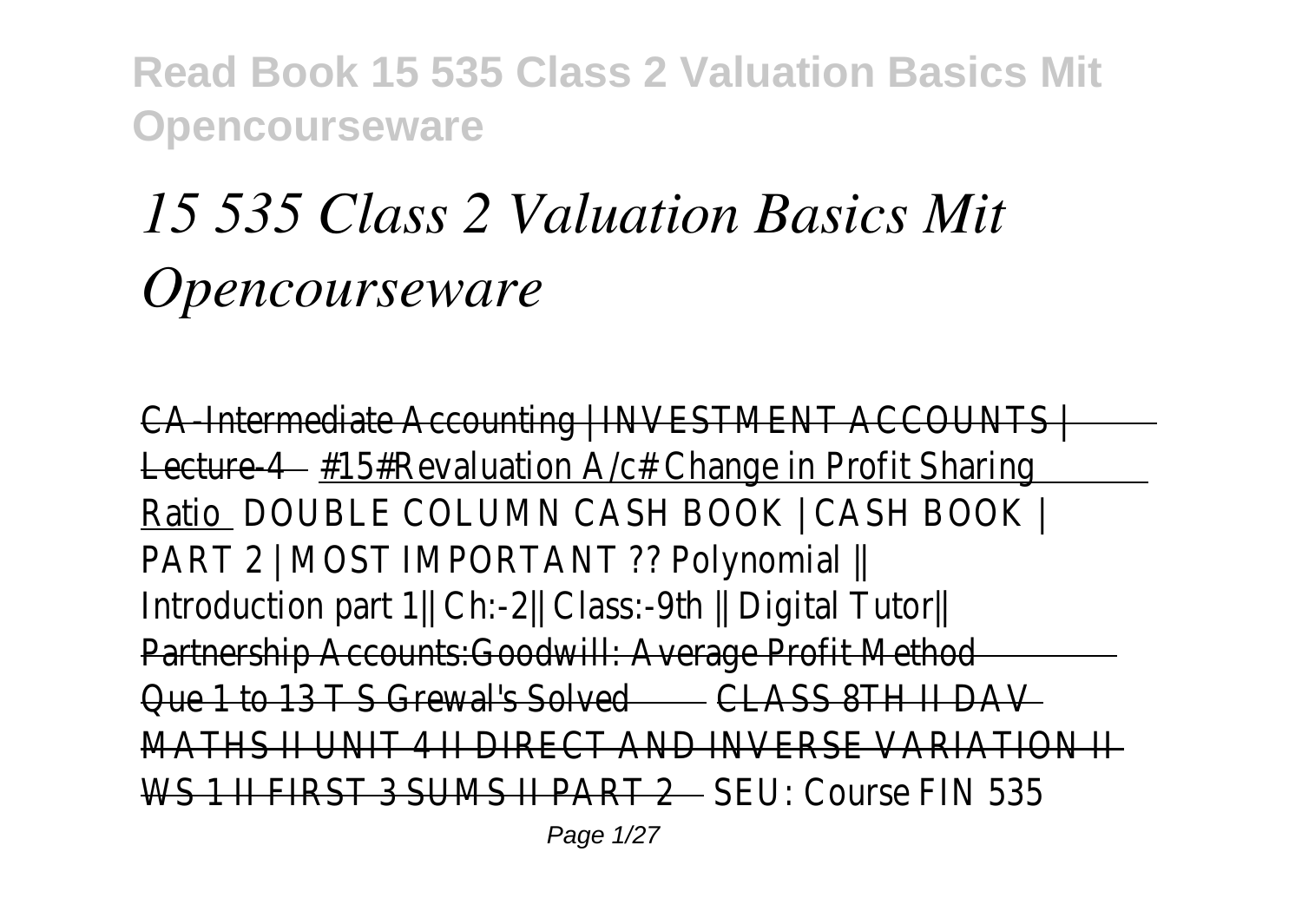# *15 535 Class 2 Valuation Basics Mit Opencourseware*

CA-Intermediate Accounting | INVESTMENT ACCOUNTS | Lecture 4 – #15#Revaluation A/c# Change in Profit Sharing Ratio DOUBLE COLUMN CASH BOOK | CASH BOOK | PART 2 | MOST IMPORTANT ?? Polynomial || Introduction part 1|| Ch:-2|| Class:-9th || Digital Tutor|| Partnership Accounts:Goodwill: Average Profit Method Que 1 to 13 T S Grewal's Solved CLASS 8TH II DAV MATHS II UNIT 4 II DIRECT AND INVERSE VARIATION II WS 1 II FIRST 3 SHMS II PART 2 SELL COURS FIN 535

Page 1/27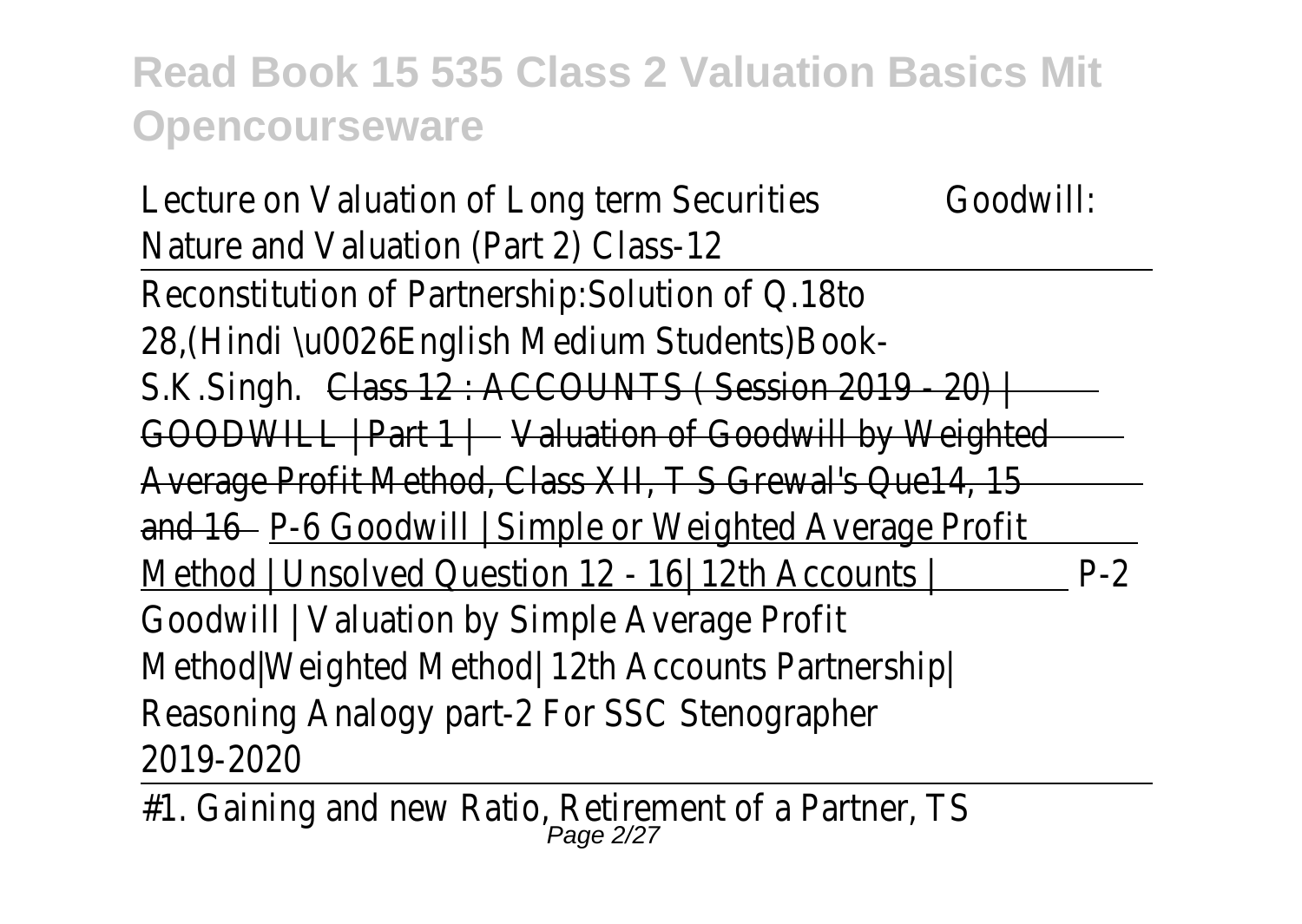| Lecture on Valuation of Long term Securities              | Goodwill: |
|-----------------------------------------------------------|-----------|
| Nature and Valuation (Part 2) Class-12                    |           |
| Reconstitution of Partnership: Solution of Q.18to         |           |
| 28, (Hindi \u0026English Medium Students) Book-           |           |
| S.K.Singh. Class 12 : ACCOUNTS (Session 2019 - 20)        |           |
| GOODWILL   Part 1   Valuation of Goodwill by Weighted     |           |
| Average Profit Method, Class XII, T S Grewal's Que14, 15  |           |
| and 16 – P-6 Goodwill   Simple or Weighted Average Profit |           |
| Method   Unsolved Question 12 - 16 12th Accounts          | $P-2$     |
| Goodwill   Valuation by Simple Average Profit             |           |
| Method   Weighted Method   12th Accounts Partnership      |           |
| Reasoning Analogy part-2 For SSC Stenographer             |           |
| 2019-2020                                                 |           |
| 44 Ostatus sud used Dalle Deltaensel of a Dauluse TC      |           |

-

#1. Gaining and new Ratio, Retirement of a Partner, TS<br>Page 2/27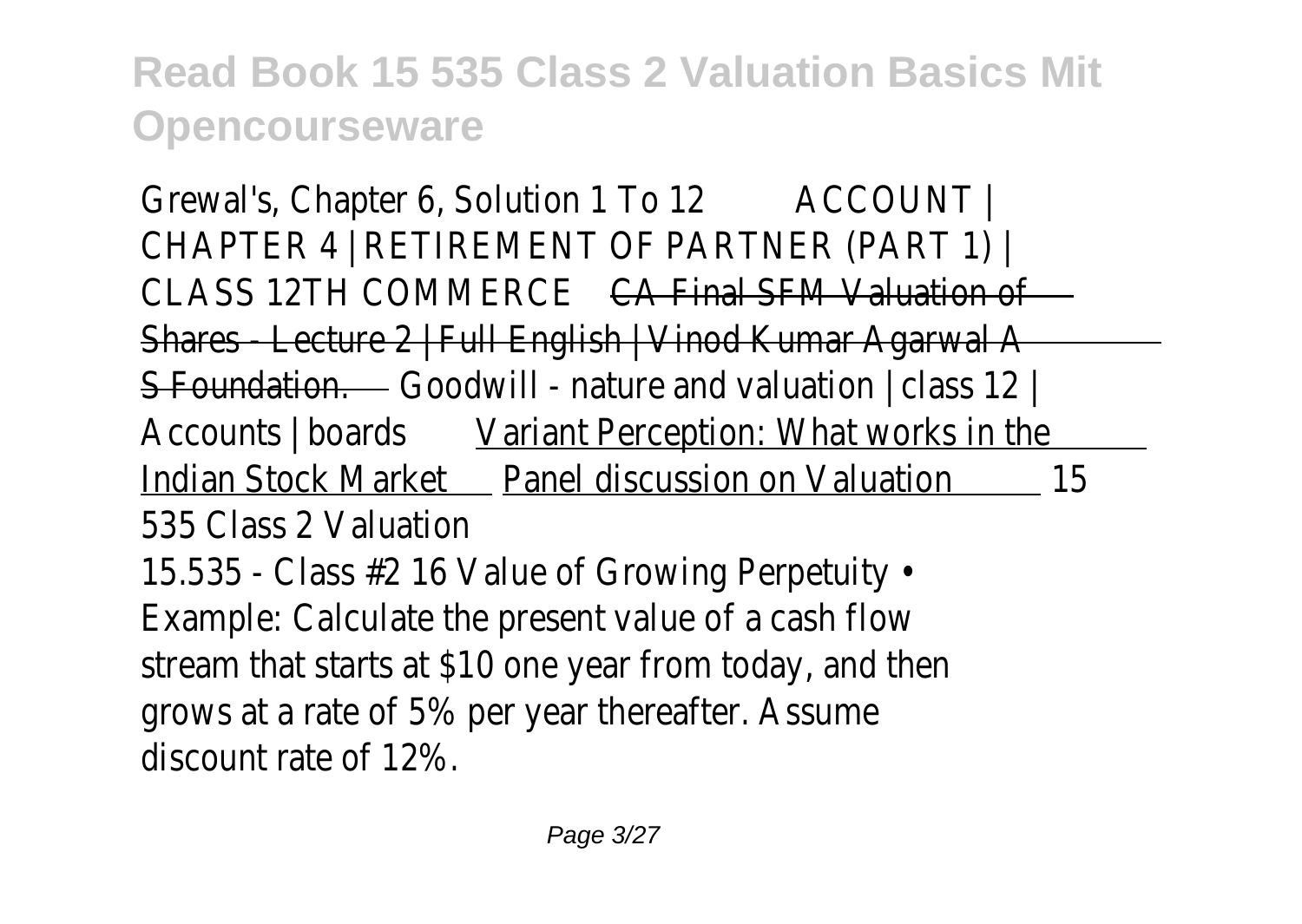Grewal's, Chapter 6, Solution 1 To 12 ACCOUNT I CHAPTER 4 | RETIREMENT OF PARTNER (PART 1) | CLASS 12TH COMMERCE CA Final SFM Valuation of Shares - Lecture 2 | Full English | Vinod Kumar Agarwal A S Foundation. Goodwill - nature and valuation | class 12 | Accounts | boards Variant Perception: What works in the Indian Stock Market Panel discussion on Valuation 15 535 Class 2 Valuation 15.535 - Class #2 16 Value of Growing Perpetuity • Example: Calculate the present value of a cash flow stream that starts at \$10 one year from today, and then grows at a rate of 5% per year thereafter. Assume discount rate of 12%.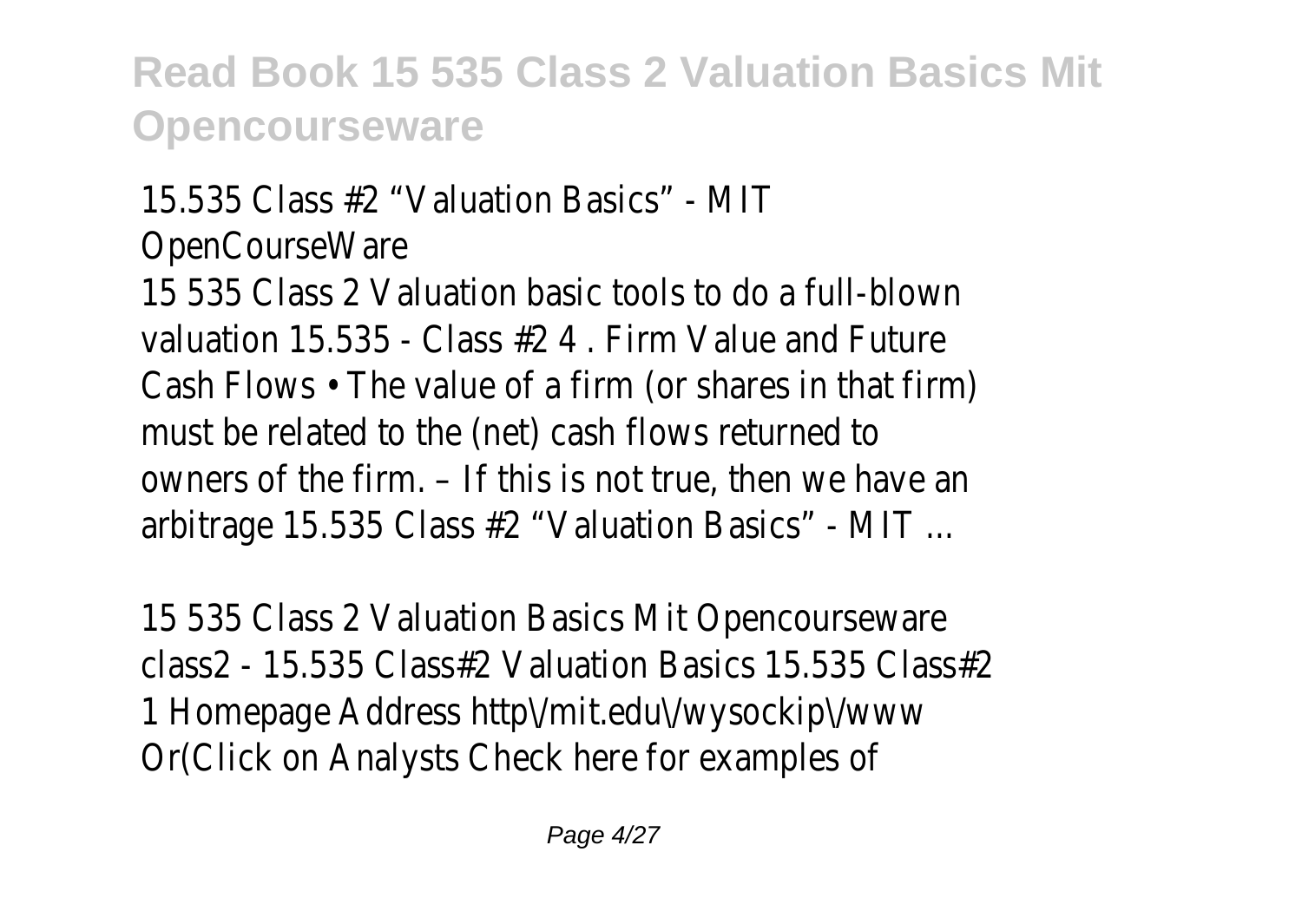15.535 Class #2 "Valuation Basics" - MIT OpenCourseWare 15 535 Class 2 Valuation basic tools to do a full-blown valuation 15.535 - Class #2 4 . Firm Value and Future Cash Flows • The value of a firm (or shares in that firm) must be related to the (net) cash flows returned to owners of the firm. – If this is not true, then we have an arbitrage 15.535 Class #2 "Valuation Basics" - MIT ...

15 535 Class 2 Valuation Basics Mit Opencourseware class2 - 15.535 Class#2 Valuation Basics 15.535 Class#2 1 Homepage Address http\/mit.edu\/wysockip\/www Or(Click on Analysts Check here for examples of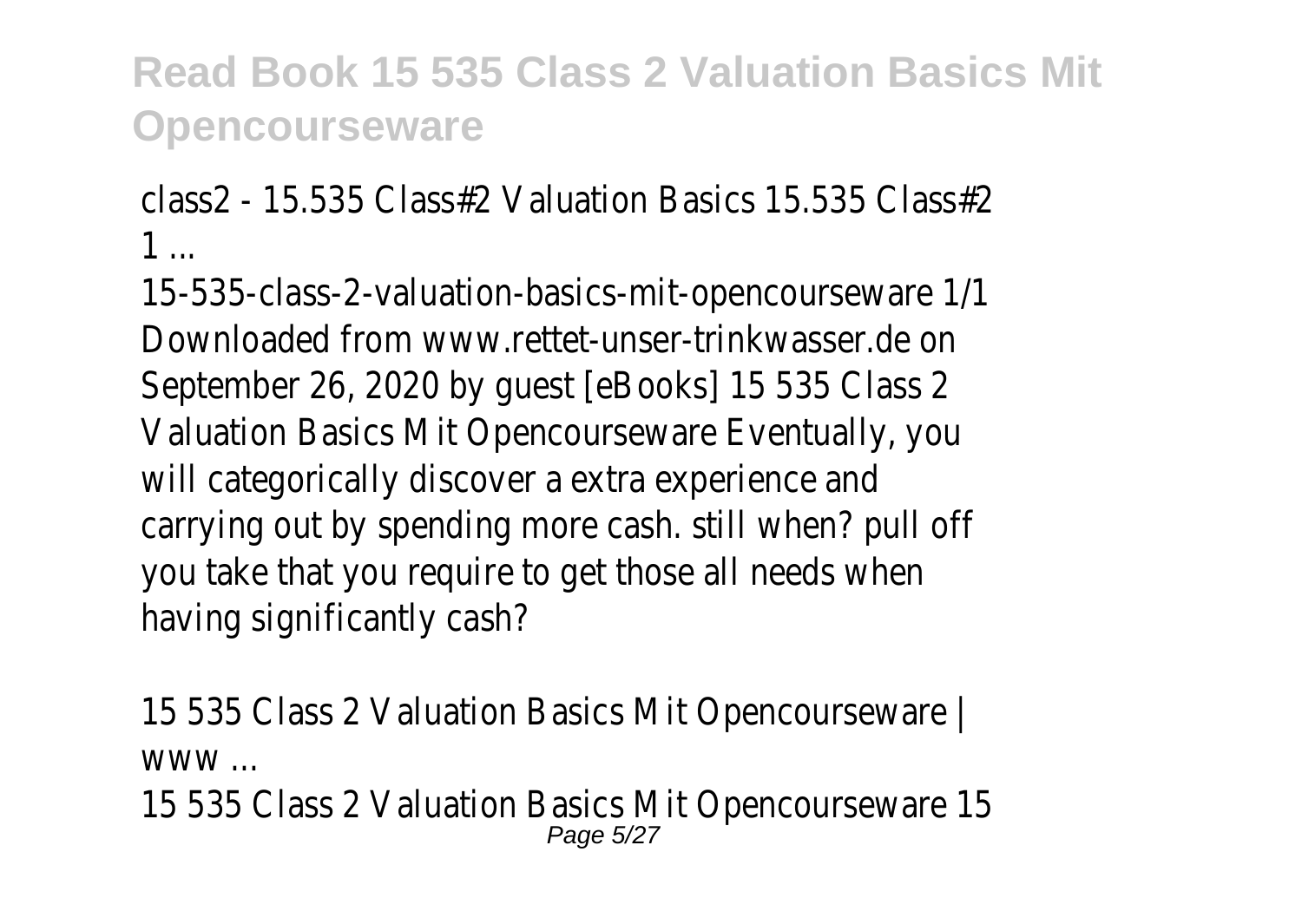class2 - 15.535 Class#2 Valuation Basics 15.535 Class#2 1 ...

15-535-class-2-valuation-basics-mit-opencourseware 1/1 Downloaded from www.rettet-unser-trinkwasser.de on September 26, 2020 by guest [eBooks] 15 535 Class 2 Valuation Basics Mit Opencourseware Eventually, you will categorically discover a extra experience and carrying out by spending more cash. still when? pull off you take that you require to get those all needs when having significantly cash?

15 535 Class 2 Valuation Basics Mit Opencourseware | www ...

15 535 Class 2 Valuation Basics Mit Opencourseware 15 Page 5/27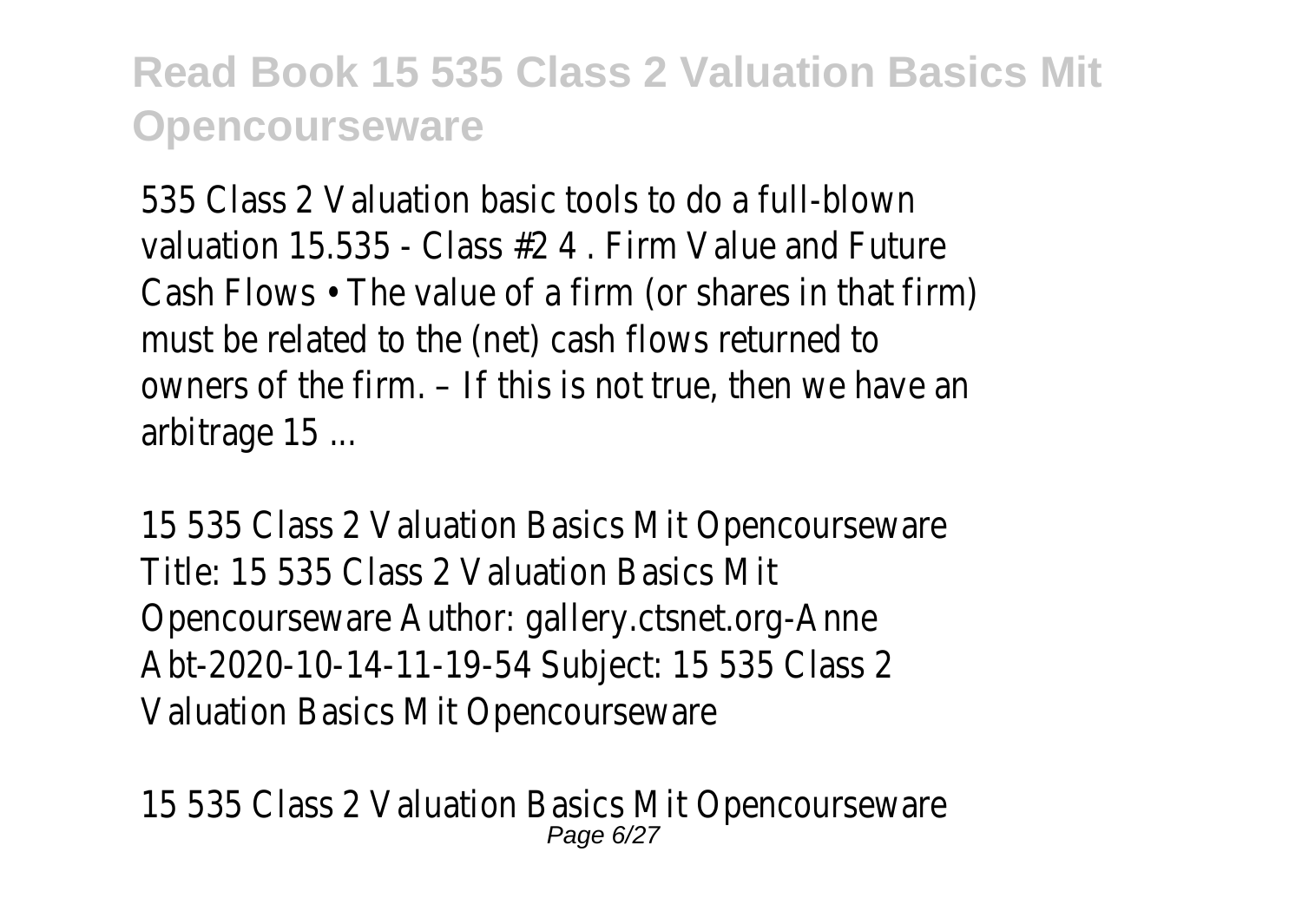535 Class 2 Valuation basic tools to do a full-blown valuation 15.535 - Class #2 4 . Firm Value and Future Cash Flows • The value of a firm (or shares in that firm) must be related to the (net) cash flows returned to owners of the firm. – If this is not true, then we have an arbitrage 15 ...

15 535 Class 2 Valuation Basics Mit Opencourseware Title: 15 535 Class 2 Valuation Basics Mit Opencourseware Author: gallery.ctsnet.org-Anne Abt-2020-10-14-11-19-54 Subject: 15 535 Class 2 Valuation Basics Mit Opencourseware

15 535 Class 2 Valuation Basics Mit Opencourseware Page 6/27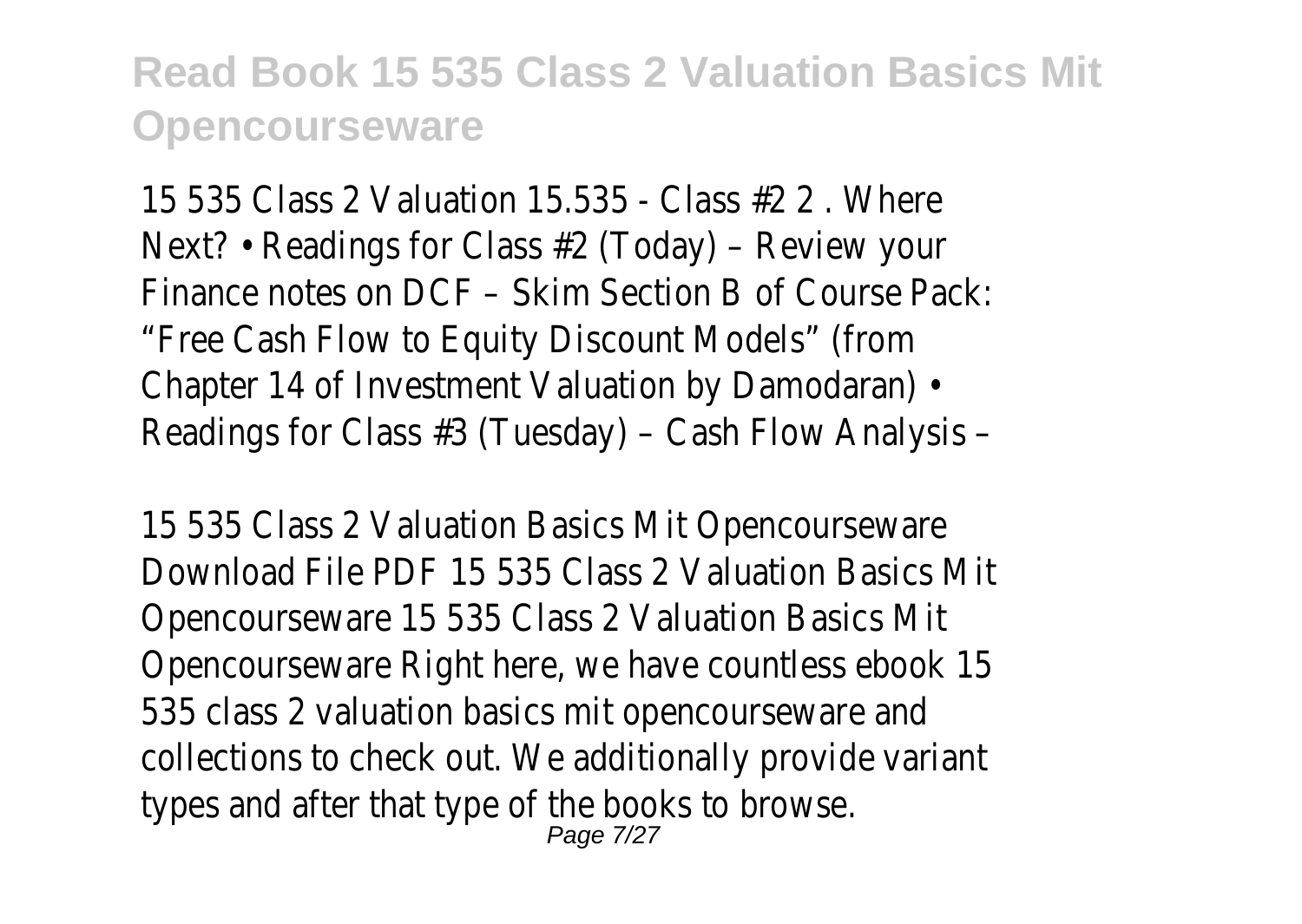15 535 Class 2 Valuation 15.535 - Class #2 2 . Where Next? • Readings for Class #2 (Today) – Review your Finance notes on DCF – Skim Section B of Course Pack: "Free Cash Flow to Equity Discount Models" (from Chapter 14 of Investment Valuation by Damodaran) • Readings for Class #3 (Tuesday) – Cash Flow Analysis –

15 535 Class 2 Valuation Basics Mit Opencourseware Download File PDF 15 535 Class 2 Valuation Basics Mit Opencourseware 15 535 Class 2 Valuation Basics Mit Opencourseware Right here, we have countless ebook 15 535 class 2 valuation basics mit opencourseware and collections to check out. We additionally provide variant types and after that type of the books to browse. Page 7/27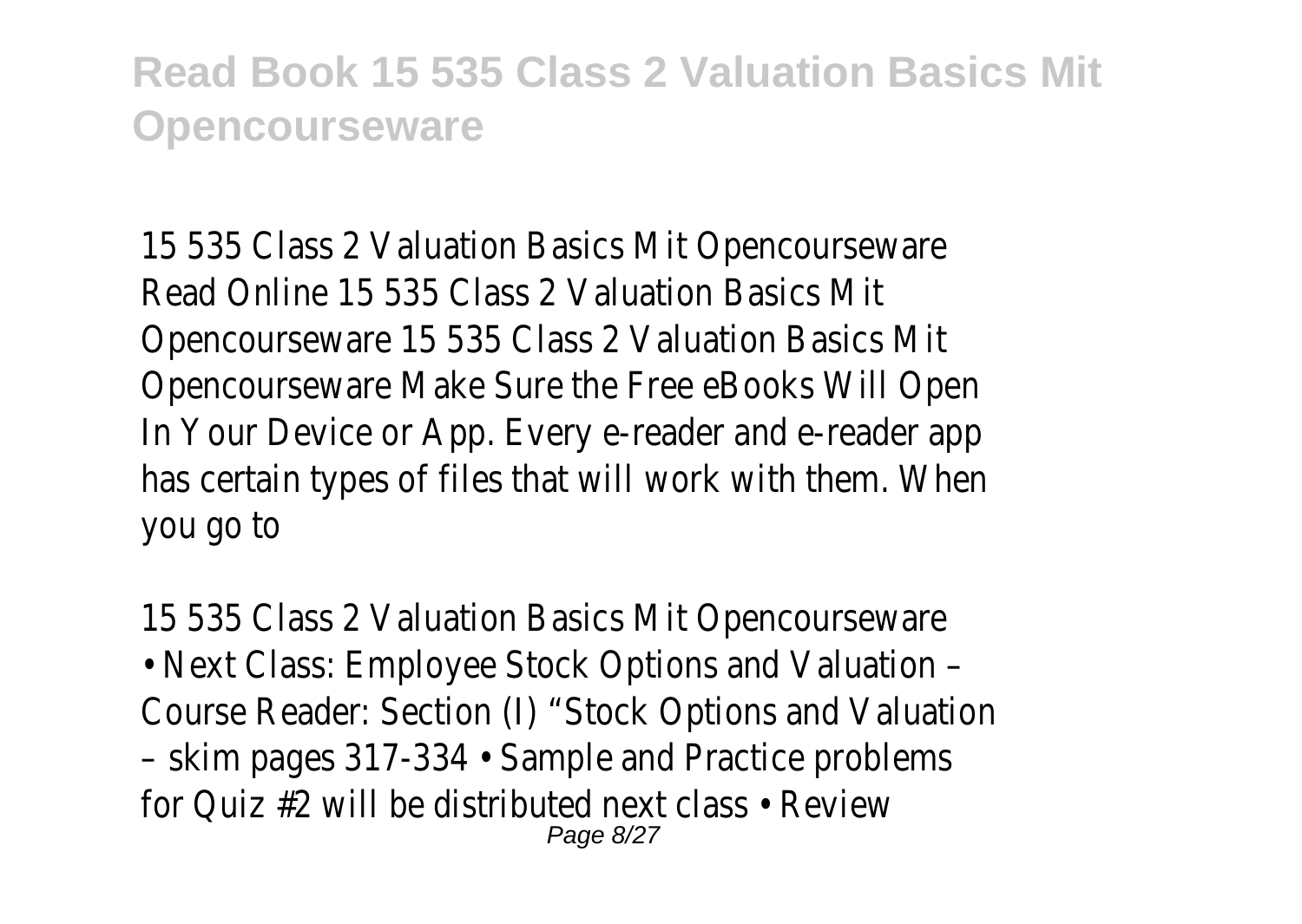15 535 Class 2 Valuation Basics Mit Opencourseware Read Online 15 535 Class 2 Valuation Basics Mit Opencourseware 15 535 Class 2 Valuation Basics Mit Opencourseware Make Sure the Free eBooks Will Open In Your Device or App. Every e-reader and e-reader app has certain types of files that will work with them. When you go to

15 535 Class 2 Valuation Basics Mit Opencourseware • Next Class: Employee Stock Options and Valuation – Course Reader: Section (I) "Stock Options and Valuation – skim pages 317-334 • Sample and Practice problems for Quiz #2 will be distributed next class • Review Page 8/27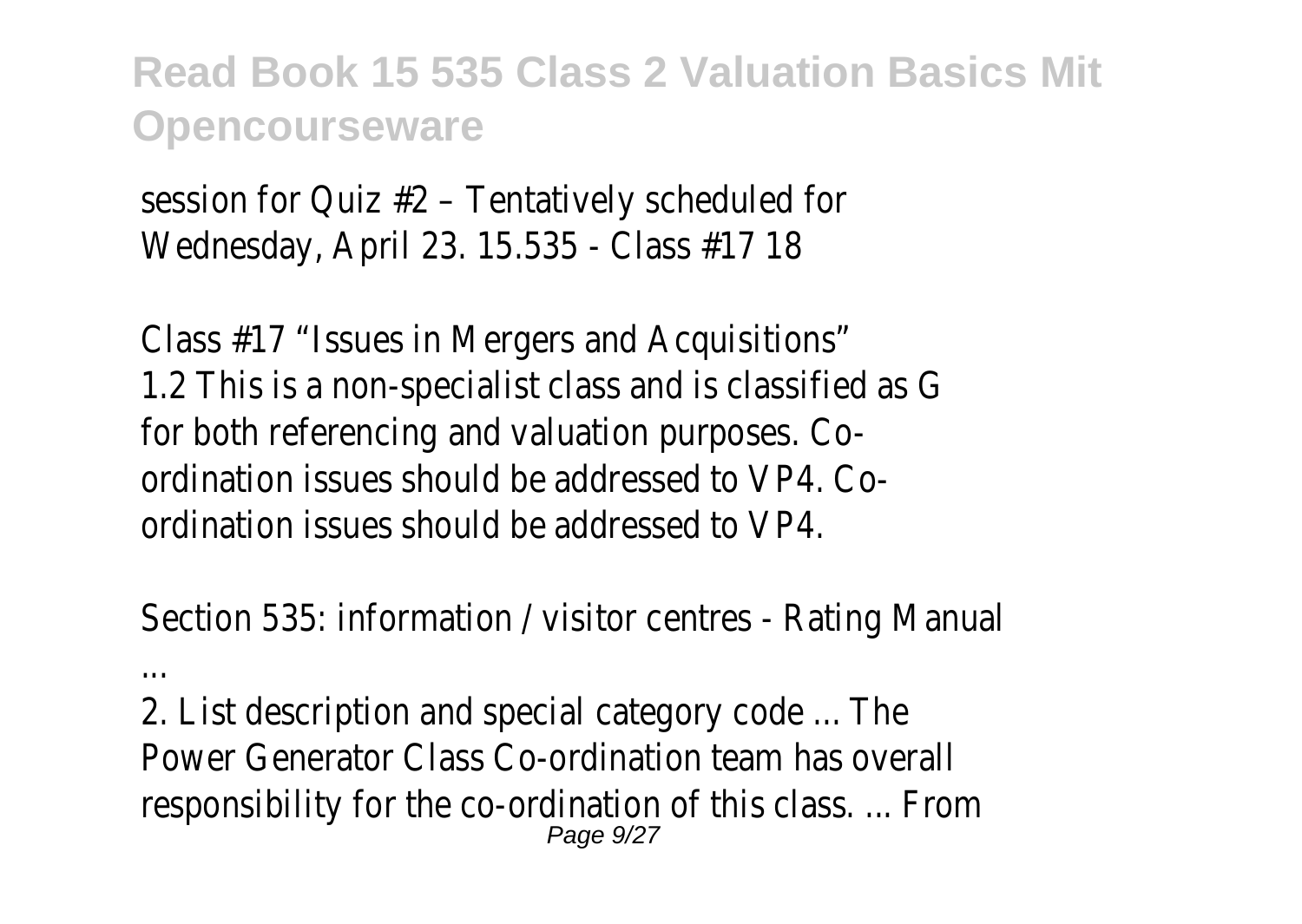session for Quiz #2 – Tentatively scheduled for Wednesday, April 23. 15.535 - Class #17 18

Class #17 "Issues in Mergers and Acquisitions" 1.2 This is a non-specialist class and is classified as G for both referencing and valuation purposes. Coordination issues should be addressed to VP4. Coordination issues should be addressed to VP4.

Section 535: information / visitor centres - Rating Manual

2. List description and special category code ... The Power Generator Class Co-ordination team has overall responsibility for the co-ordination of this class. ... From Page 9/27

...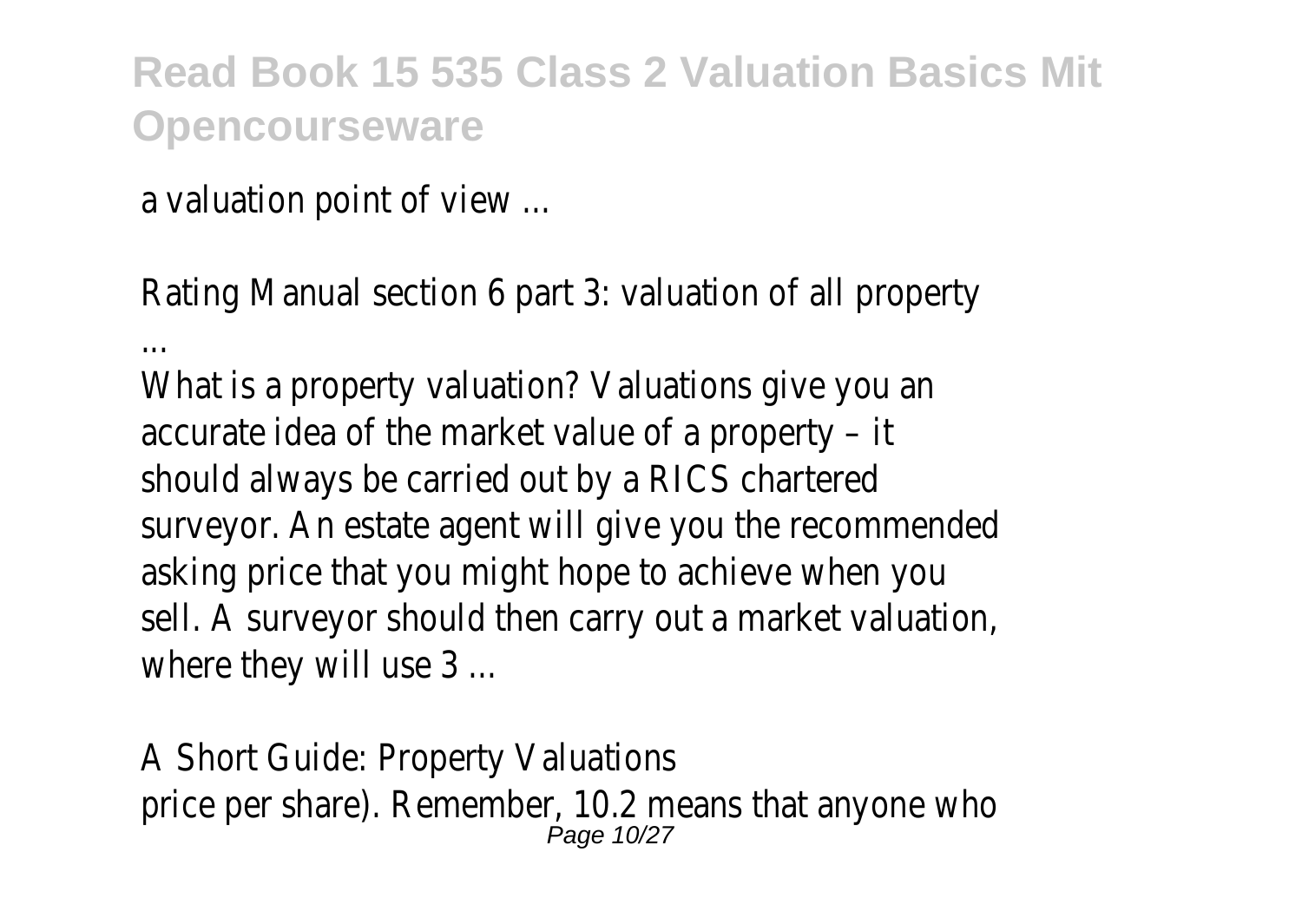a valuation point of view ...

Rating Manual section 6 part 3: valuation of all property

...

What is a property valuation? Valuations give you an accurate idea of the market value of a property – it should always be carried out by a RICS chartered surveyor. An estate agent will give you the recommended asking price that you might hope to achieve when you sell. A surveyor should then carry out a market valuation, where they will use 3 ...

A Short Guide: Property Valuations price per share). Remember, 10.2 means that anyone who Page 10/27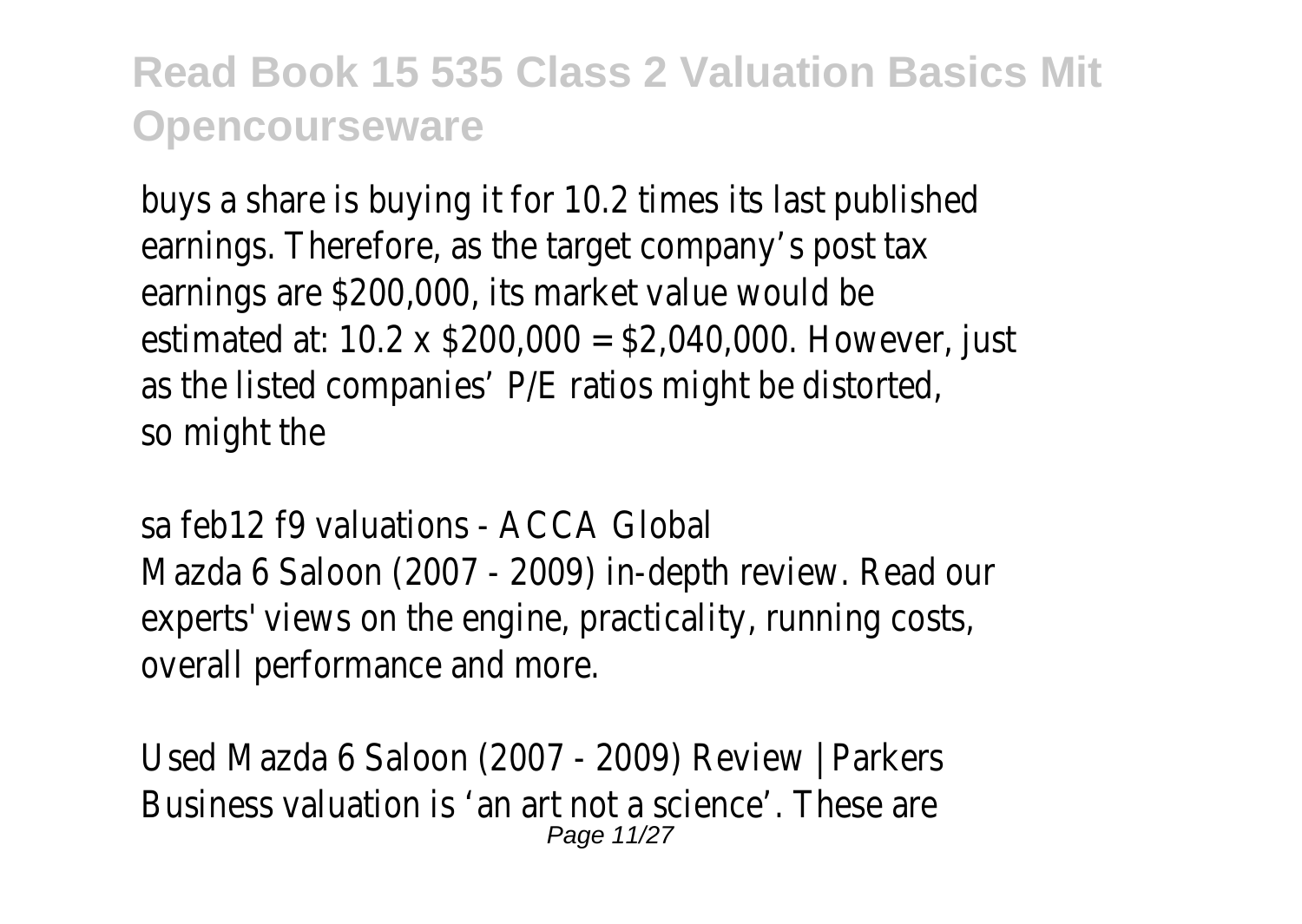buys a share is buying it for 10.2 times its last published earnings. Therefore, as the target company's post tax earnings are \$200,000, its market value would be estimated at: 10.2 x \$200,000 = \$2,040,000. However, just as the listed companies' P/E ratios might be distorted, so might the

sa feb12 f9 valuations - ACCA Global Mazda 6 Saloon (2007 - 2009) in-depth review. Read our experts' views on the engine, practicality, running costs, overall performance and more.

Used Mazda 6 Saloon (2007 - 2009) Review | Parkers Business valuation is 'an art not a science'. These are Page 11/27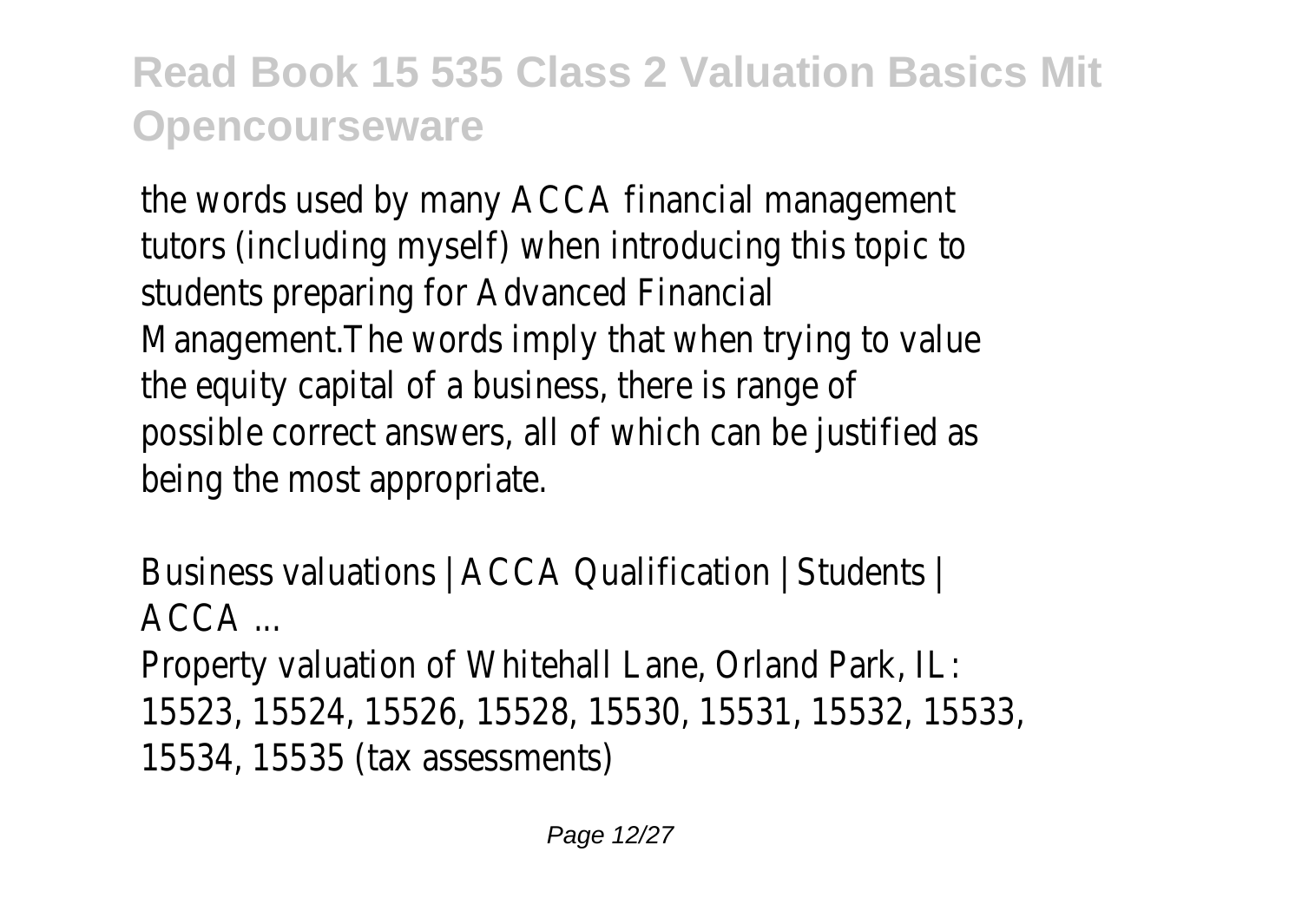the words used by many ACCA financial management tutors (including myself) when introducing this topic to students preparing for Advanced Financial Management.The words imply that when trying to value the equity capital of a business, there is range of possible correct answers, all of which can be justified as being the most appropriate.

```
Business valuations | ACCA Qualification | Students |
ACCAProperty valuation of Whitehall Lane, Orland Park, IL:
15523, 15524, 15526, 15528, 15530, 15531, 15532, 15533,
15534, 15535 (tax assessments)
```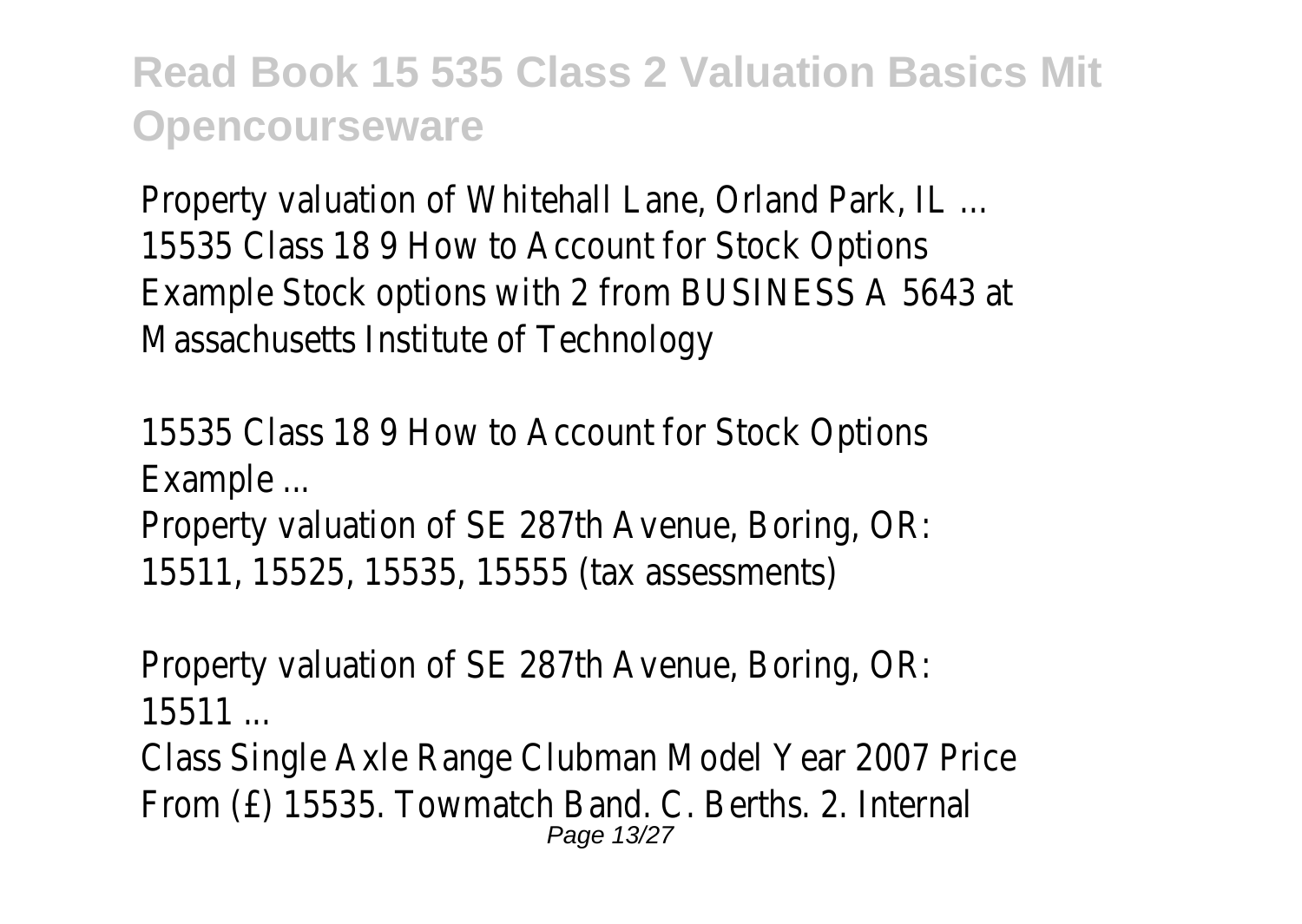Property valuation of Whitehall Lane, Orland Park, IL ... 15535 Class 18 9 How to Account for Stock Options Example Stock options with 2 from BUSINESS A 5643 at Massachusetts Institute of Technology

15535 Class 18 9 How to Account for Stock Options Example ...

Property valuation of SE 287th Avenue, Boring, OR: 15511, 15525, 15535, 15555 (tax assessments)

Property valuation of SE 287th Avenue, Boring, OR: 15511 ...

Class Single Axle Range Clubman Model Year 2007 Price From (£) 15535. Towmatch Band. C. Berths. 2. Internal Page 13/27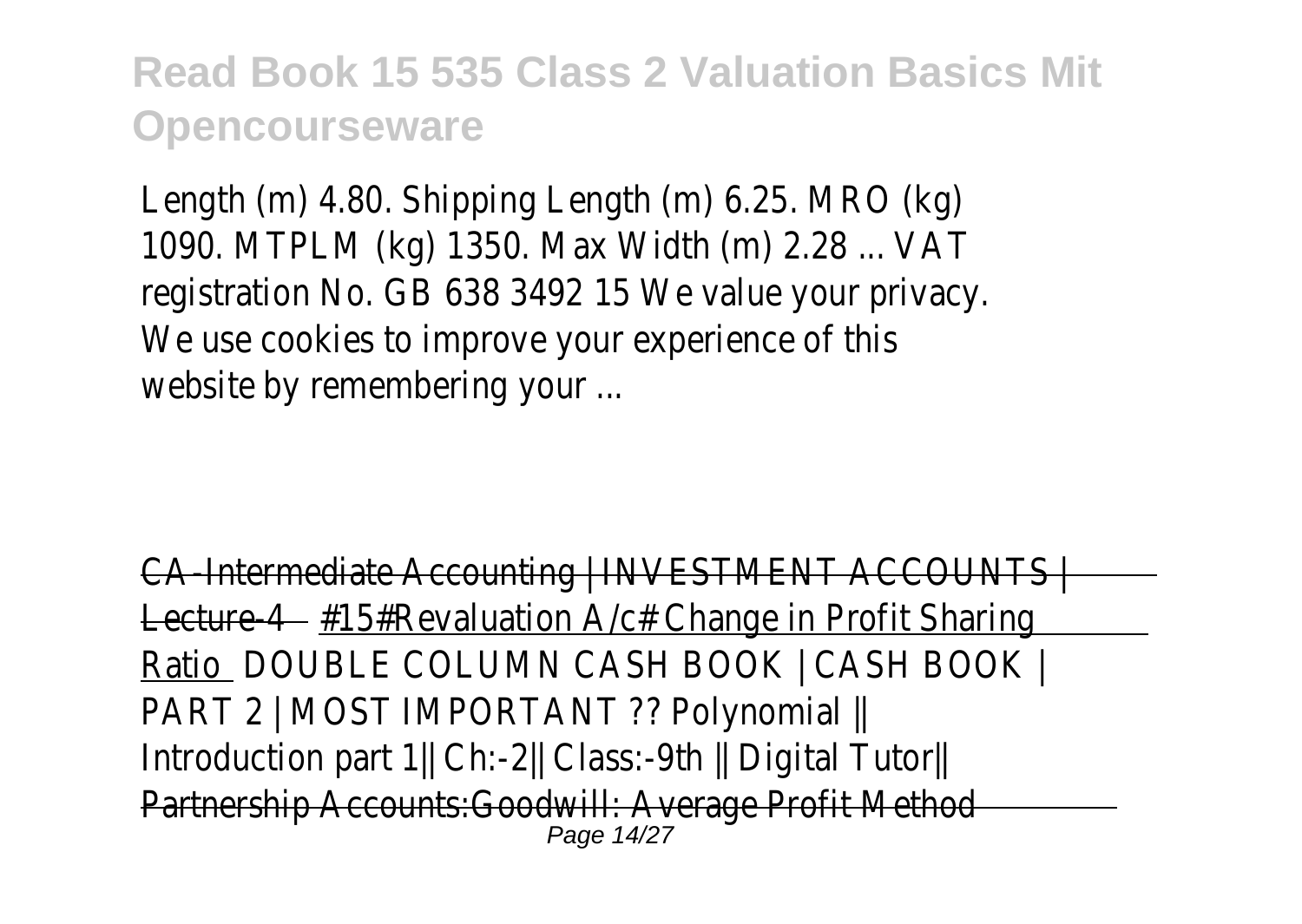Length (m) 4.80. Shipping Length (m) 6.25. MRO (kg) 1090. MTPLM (kg) 1350. Max Width (m) 2.28 ... VAT registration No. GB 638 3492 15 We value your privacy. We use cookies to improve your experience of this website by remembering your ...

```
CA-Intermediate Accounting | INVESTMENT ACCOUNTS |
Lecture-4 - #15#Revaluation A/c# Change in Profit Sharing
Ratio DOUBLE COLUMN CASH BOOK | CASH BOOK |
PART 2 | MOST IMPORTANT ?? Polynomial ||
Introduction part 1|| Ch:-2|| Class:-9th || Digital Tutor|| 
Partnership Accounts:Goodwill: Average Profit Method
                                <u>Page 14/27</u>
```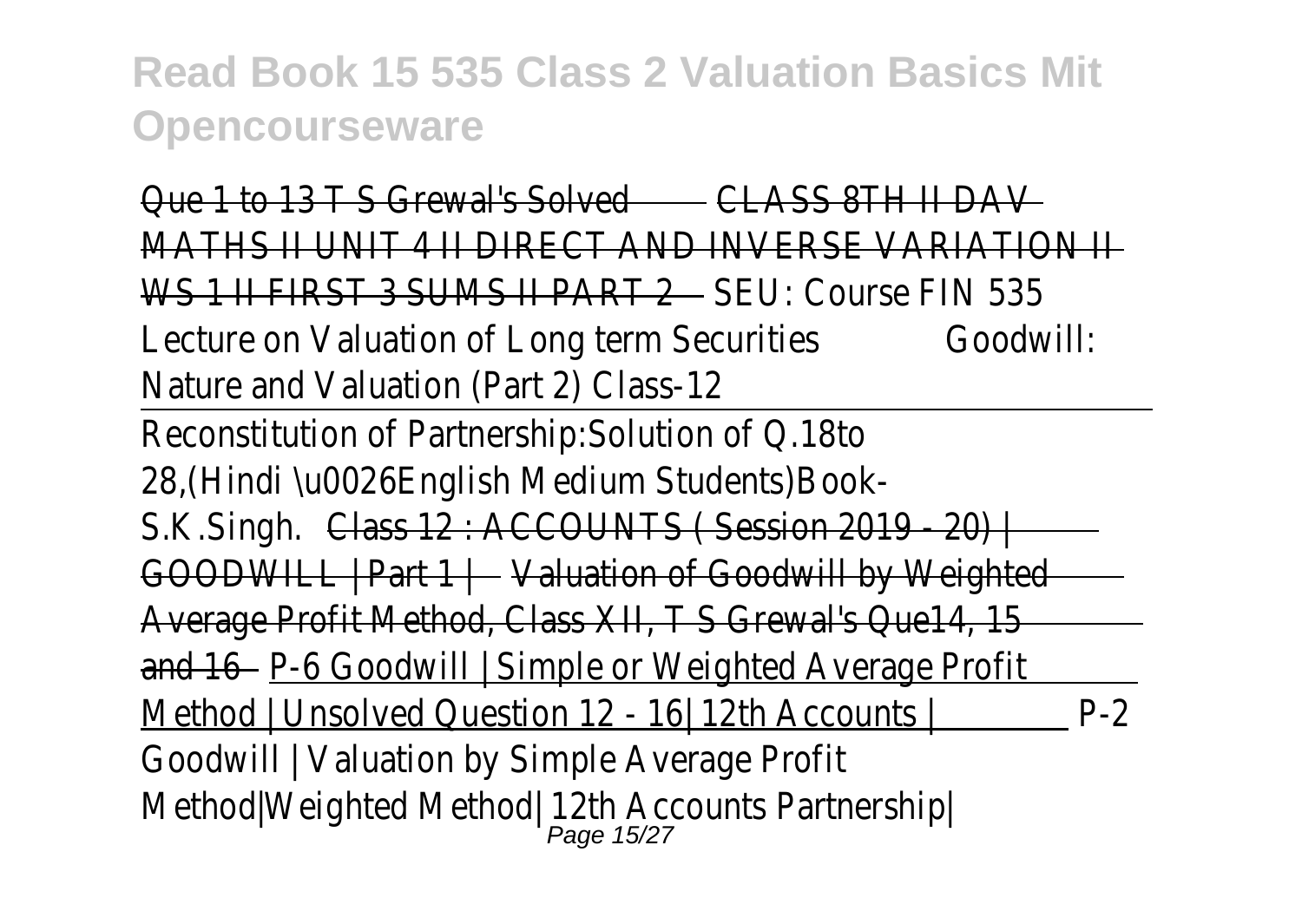| Que 1 to 13 T S Grewal's Solved<br>CLASS 8TH ILDAN               |     |
|------------------------------------------------------------------|-----|
| MATHS II UNIT 4 II DIRECT AND INVERSE VARIATION II               |     |
| WS 1 II FIRST 3 SUMS II PART 2 SEU: Course FIN 535               |     |
| Lecture on Valuation of Long term Securities<br>Goodwill:        |     |
| Nature and Valuation (Part 2) Class-12                           |     |
| Reconstitution of Partnership: Solution of Q.18to                |     |
| 28, (Hindi \u0026English Medium Students) Book-                  |     |
| S.K.Singh. Class 12 : ACCOUNTS (Session 2019 - 20)               |     |
| GOODWILL   Part 1   Valuation of Goodwill by Weighted            |     |
| Average Profit Method, Class XII, T S Grewal's Que14, 15         |     |
| and 16 – P-6 Goodwill   Simple or Weighted Average Profit        |     |
| Method   Unsolved Question 12 - 16 12th Accounts                 | P-2 |
| Goodwill   Valuation by Simple Average Profit                    |     |
| Method Weighted Method   12th Accounts Partnership<br>Page 15/27 |     |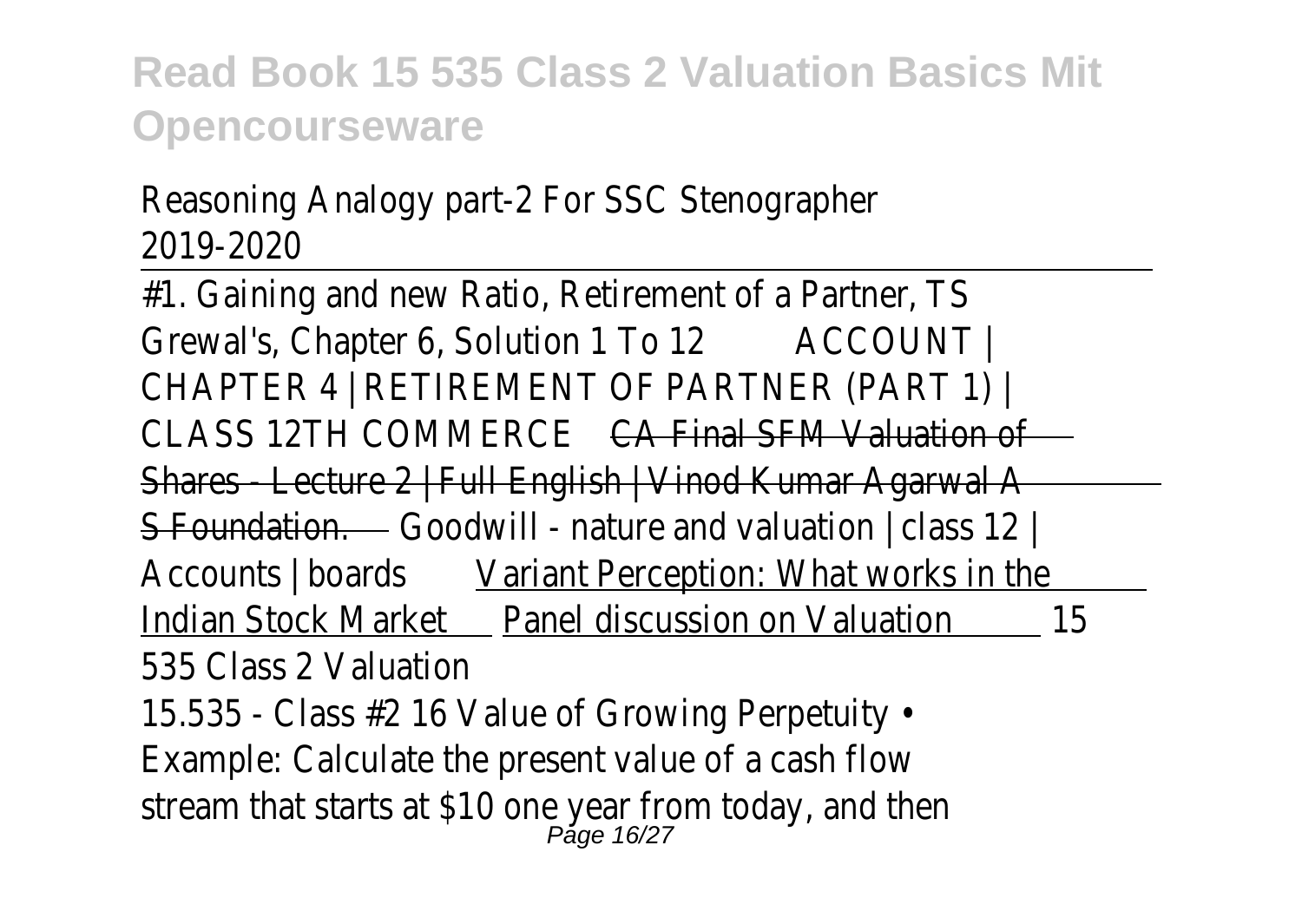#### Reasoning Analogy part-2 For SSC Stenographer 2019-2020

| #1. Gaining and new Ratio, Retirement of a Partner, TS                 |
|------------------------------------------------------------------------|
| Grewal's, Chapter 6, Solution 1 To 12<br>ACCOUNT                       |
| CHAPTER 4   RETIREMENT OF PARTNER (PART 1)                             |
| <b>CLASS 12TH COMMERCE</b><br>CA Final SEM Valuation of                |
| Shares - Lecture 2   Full English   Vinod Kumar Agarwal A              |
| <b>S-Foundation.</b> Coodwill - nature and valuation   class 12        |
| Variant Perception: What works in the<br>Accounts   boards             |
| Panel discussion on Valuation<br>Indian Stock Market<br>15             |
| 535 Class 2 Valuation                                                  |
| 15.535 - Class #2 16 Value of Growing Perpetuity •                     |
| Example: Calculate the present value of a cash flow                    |
| stream that starts at \$10 one year from today, and then<br>Page 16/27 |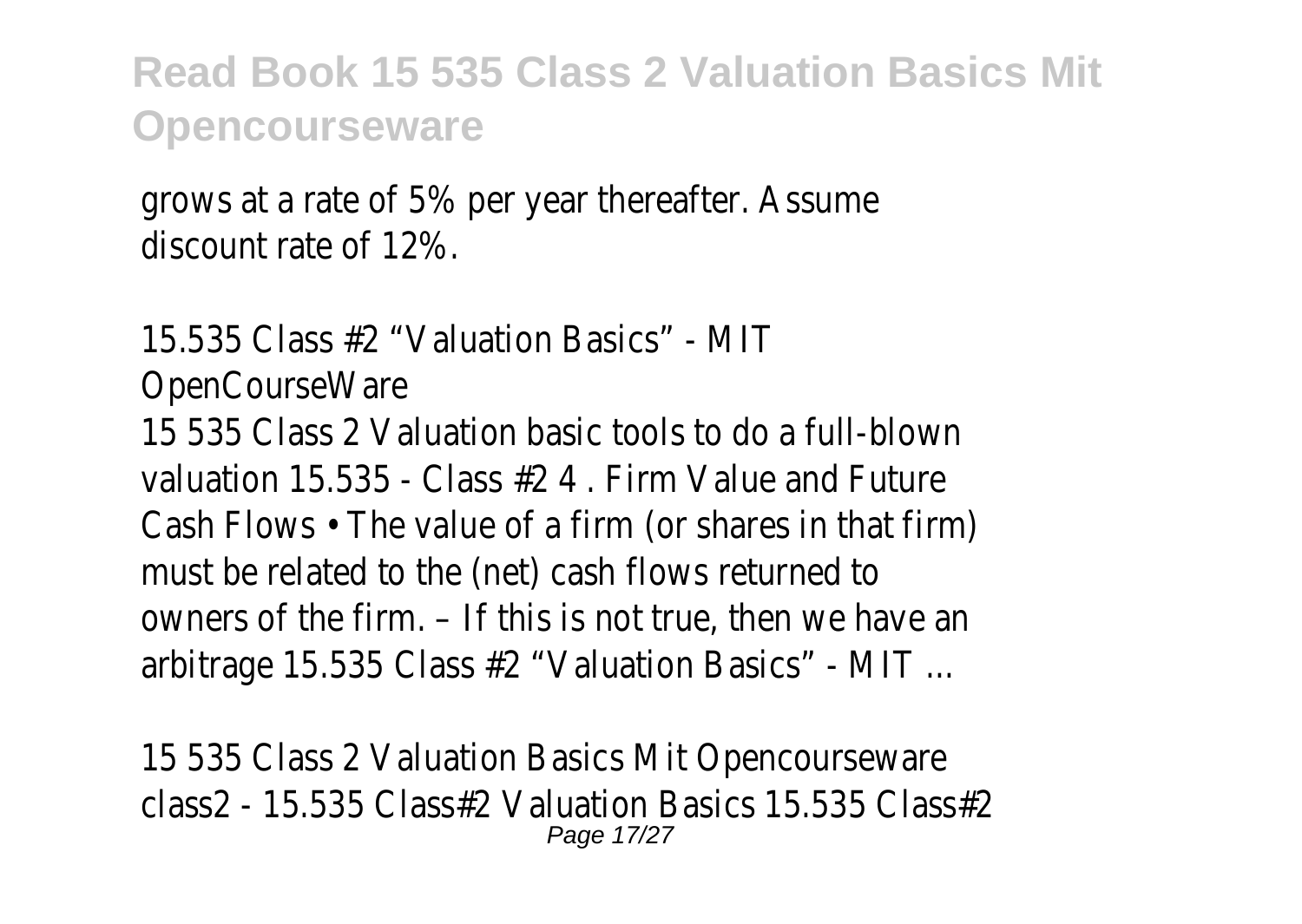grows at a rate of 5% per year thereafter. Assume discount rate of 12%.

15.535 Class #2 "Valuation Basics" - MIT OpenCourseWare 15 535 Class 2 Valuation basic tools to do a full-blown valuation 15.535 - Class #2 4 . Firm Value and Future Cash Flows • The value of a firm (or shares in that firm) must be related to the (net) cash flows returned to owners of the firm. – If this is not true, then we have an arbitrage 15.535 Class #2 "Valuation Basics" - MIT ...

15 535 Class 2 Valuation Basics Mit Opencourseware class2 - 15.535 Class#2 Valuation Basics 15.535 Class#2 Page 17/27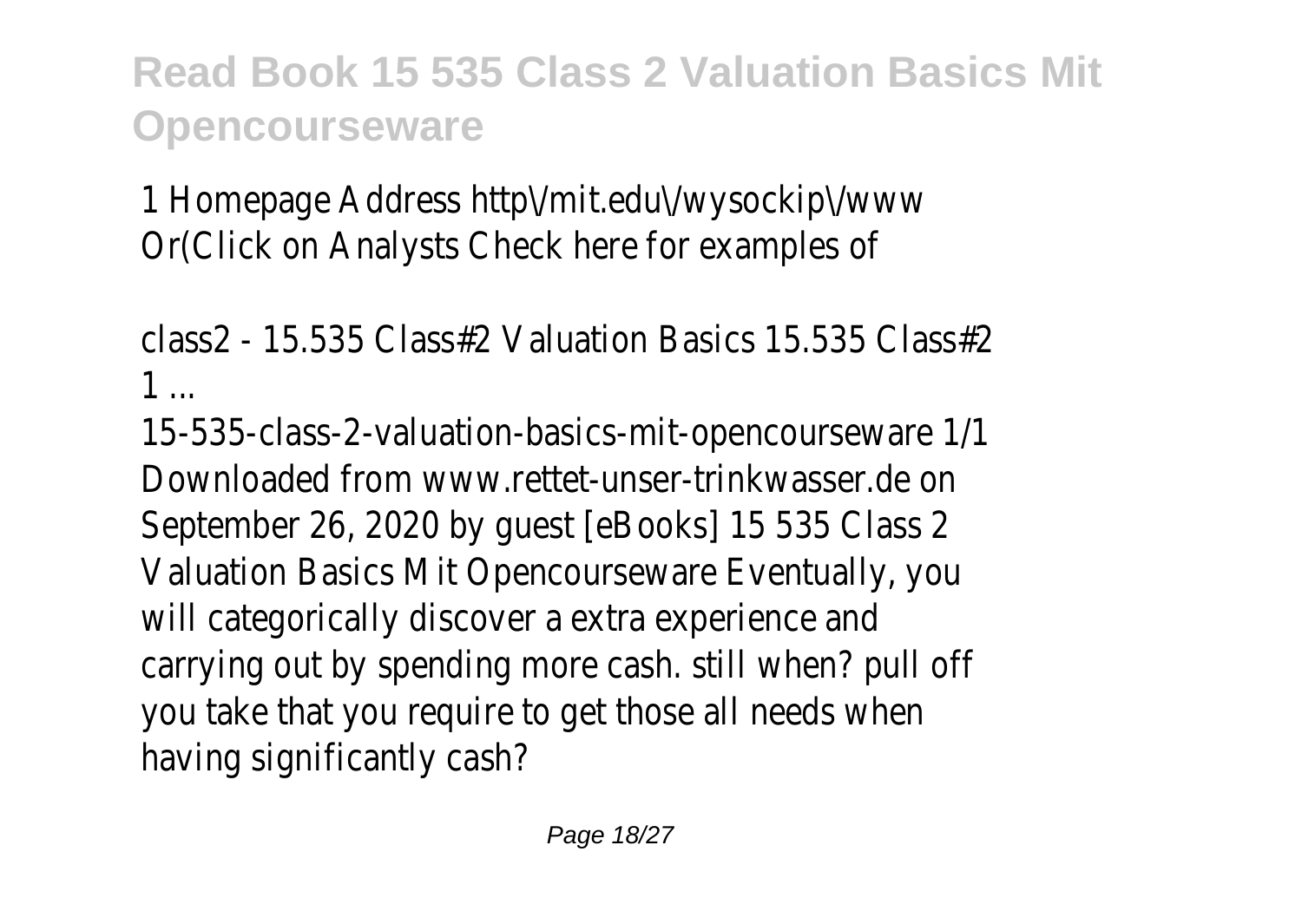1 Homepage Address http\/mit.edu\/wysockip\/www Or(Click on Analysts Check here for examples of

class2 - 15.535 Class#2 Valuation Basics 15.535 Class#2 1 ...

15-535-class-2-valuation-basics-mit-opencourseware 1/1 Downloaded from www.rettet-unser-trinkwasser.de on September 26, 2020 by guest [eBooks] 15 535 Class 2 Valuation Basics Mit Opencourseware Eventually, you will categorically discover a extra experience and carrying out by spending more cash. still when? pull off you take that you require to get those all needs when having significantly cash?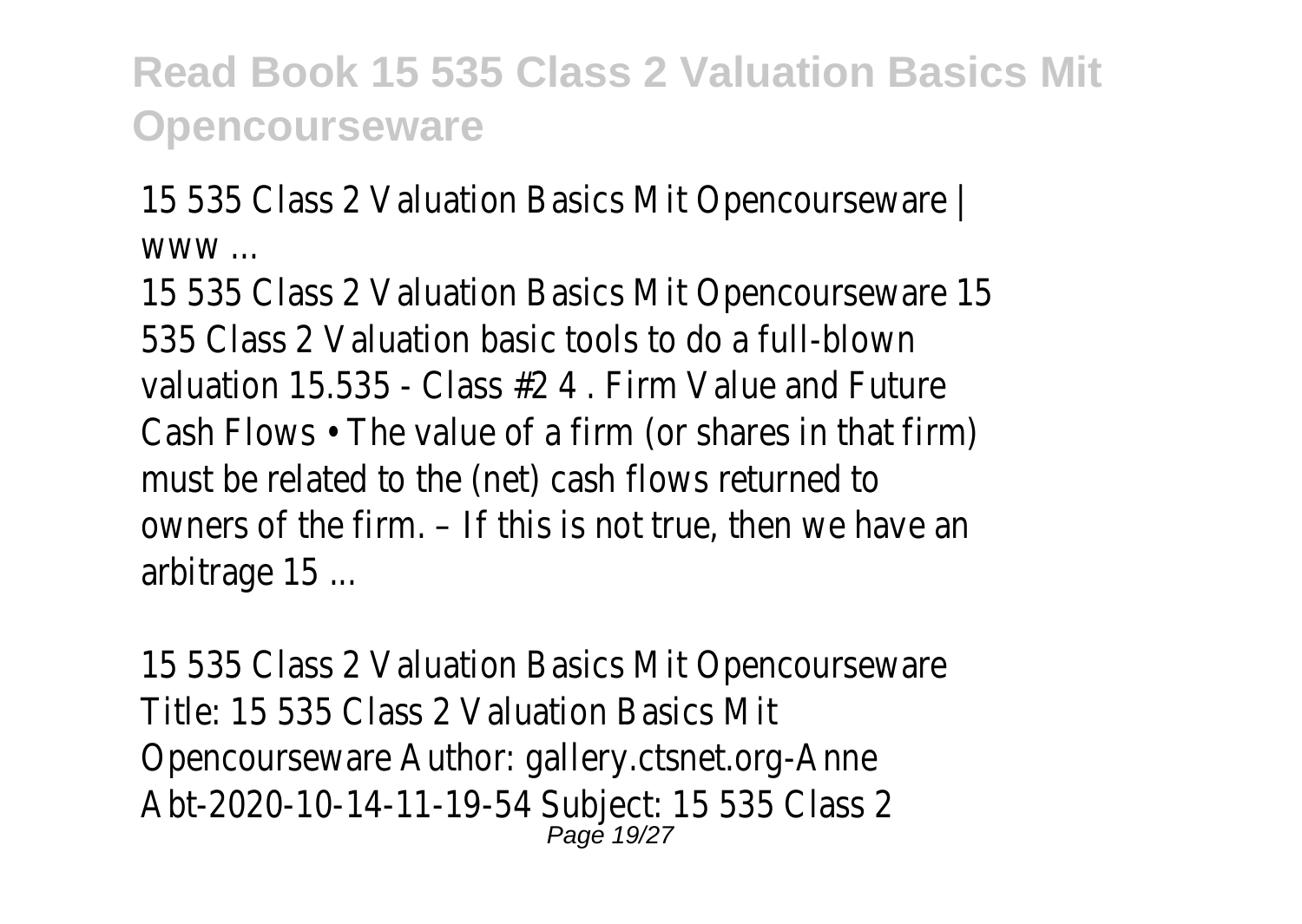15 535 Class 2 Valuation Basics Mit Opencourseware | www ...

15 535 Class 2 Valuation Basics Mit Opencourseware 15 535 Class 2 Valuation basic tools to do a full-blown valuation 15.535 - Class #2 4 . Firm Value and Future Cash Flows • The value of a firm (or shares in that firm) must be related to the (net) cash flows returned to owners of the firm. – If this is not true, then we have an arbitrage 15 ...

15 535 Class 2 Valuation Basics Mit Opencourseware Title: 15 535 Class 2 Valuation Basics Mit Opencourseware Author: gallery.ctsnet.org-Anne Abt-2020-10-14-11-19-54 Subject: 15 535 Class 2 Page 19/27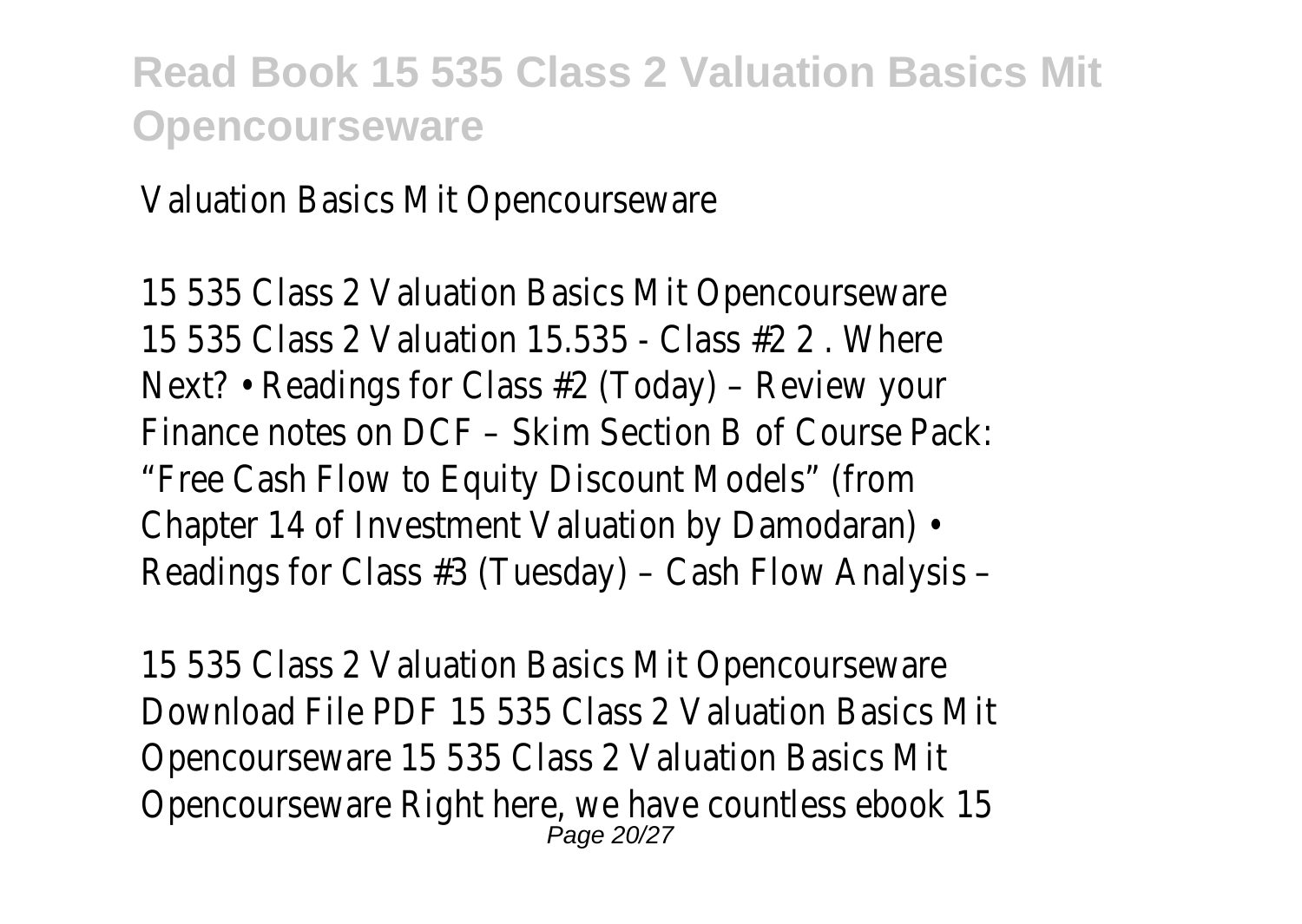Valuation Basics Mit Opencourseware

15 535 Class 2 Valuation Basics Mit Opencourseware 15 535 Class 2 Valuation 15.535 - Class #2 2 . Where Next? • Readings for Class #2 (Today) – Review your Finance notes on DCF – Skim Section B of Course Pack: "Free Cash Flow to Equity Discount Models" (from Chapter 14 of Investment Valuation by Damodaran) • Readings for Class #3 (Tuesday) – Cash Flow Analysis –

15 535 Class 2 Valuation Basics Mit Opencourseware Download File PDF 15 535 Class 2 Valuation Basics Mit Opencourseware 15 535 Class 2 Valuation Basics Mit Opencourseware Right here, we have countless ebook 15 Page 20/27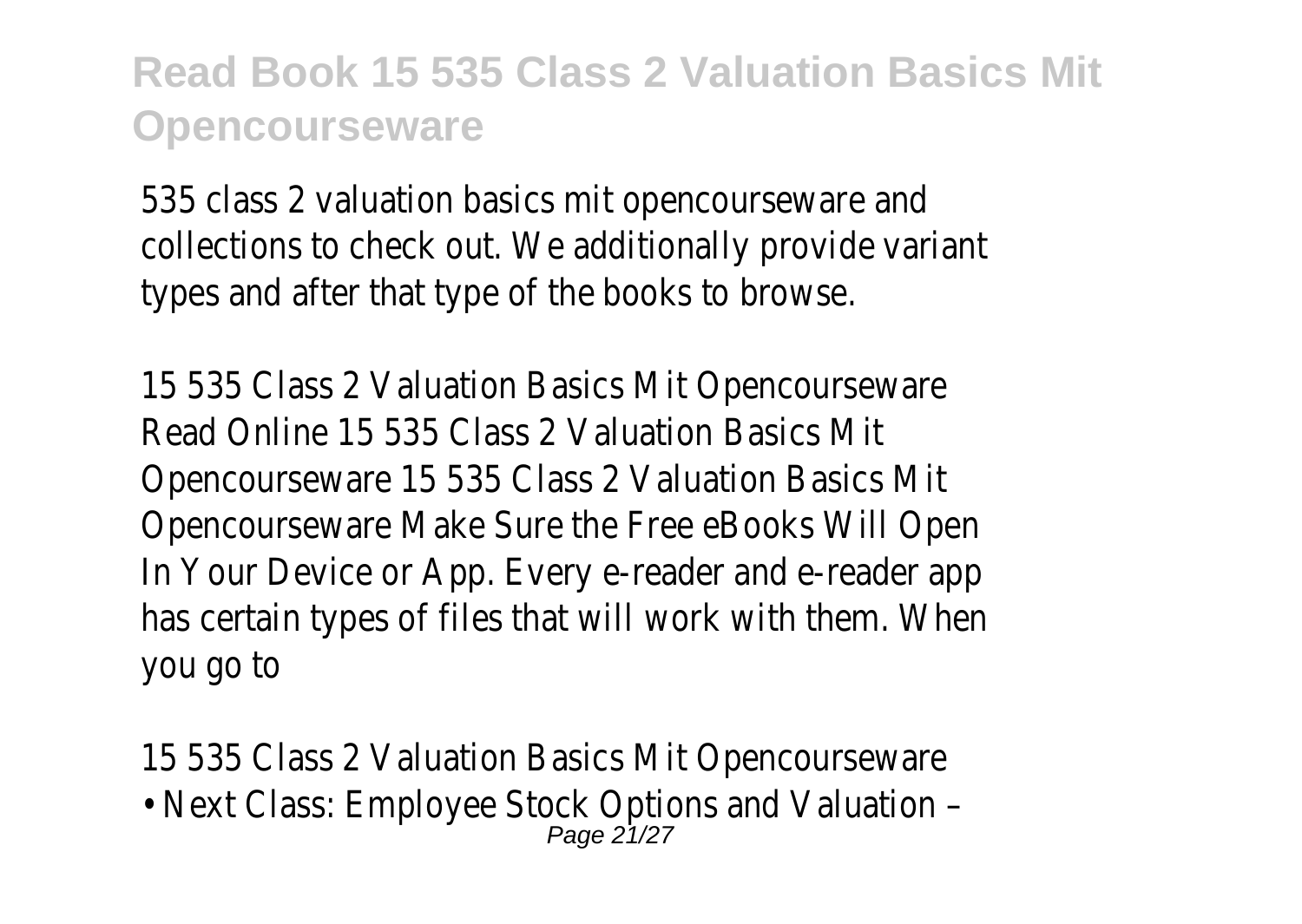535 class 2 valuation basics mit opencourseware and collections to check out. We additionally provide variant types and after that type of the books to browse.

15 535 Class 2 Valuation Basics Mit Opencourseware Read Online 15 535 Class 2 Valuation Basics Mit Opencourseware 15 535 Class 2 Valuation Basics Mit Opencourseware Make Sure the Free eBooks Will Open In Your Device or App. Every e-reader and e-reader app has certain types of files that will work with them. When you go to

15 535 Class 2 Valuation Basics Mit Opencourseware

• Next Class: Employee Stock Options and Valuation – Page 21/27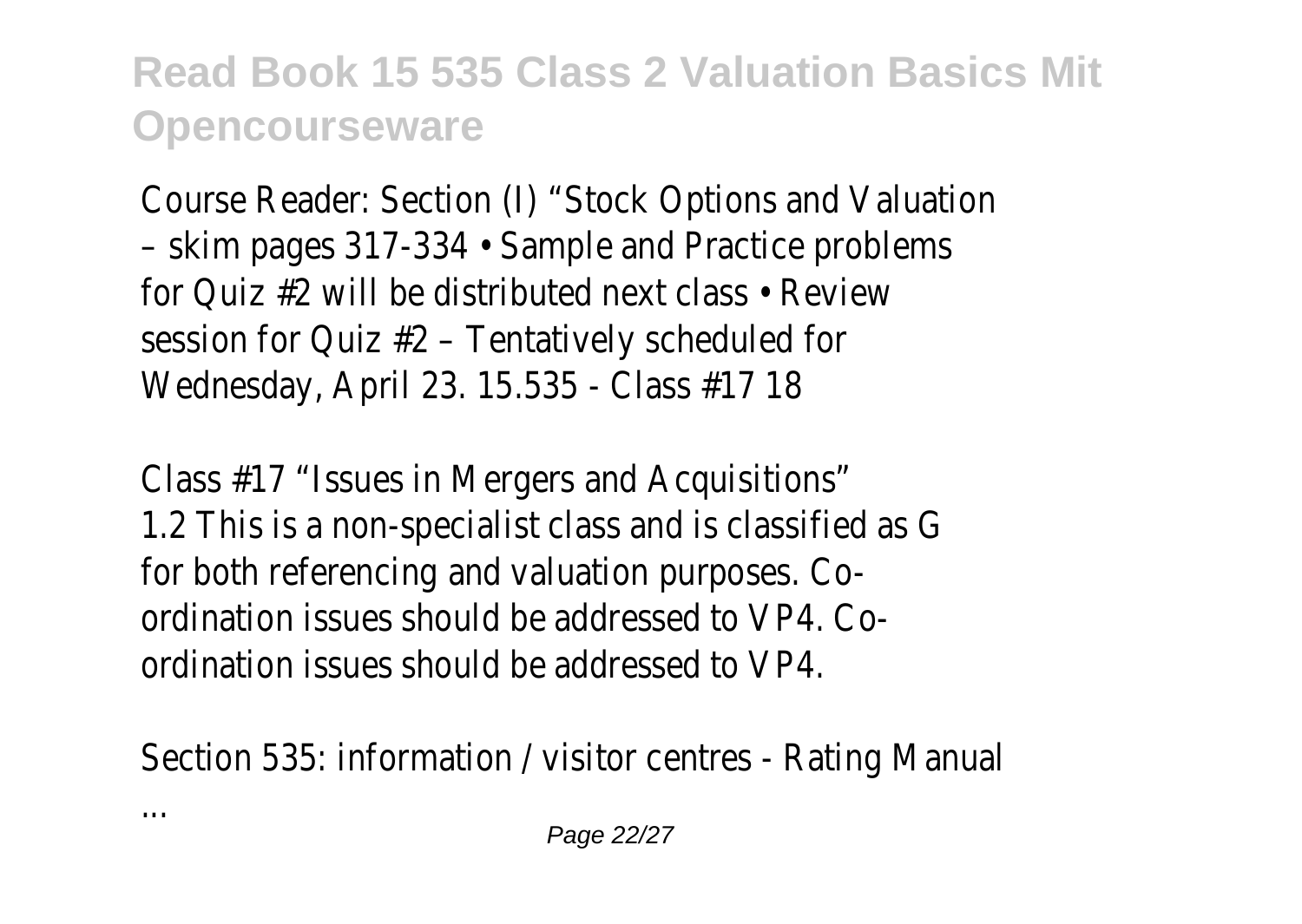Course Reader: Section (I) "Stock Options and Valuation – skim pages 317-334 • Sample and Practice problems for Quiz #2 will be distributed next class • Review session for Quiz #2 – Tentatively scheduled for Wednesday, April 23. 15.535 - Class #17 18

Class #17 "Issues in Mergers and Acquisitions" 1.2 This is a non-specialist class and is classified as G for both referencing and valuation purposes. Coordination issues should be addressed to VP4. Coordination issues should be addressed to VP4.

Section 535: information / visitor centres - Rating Manual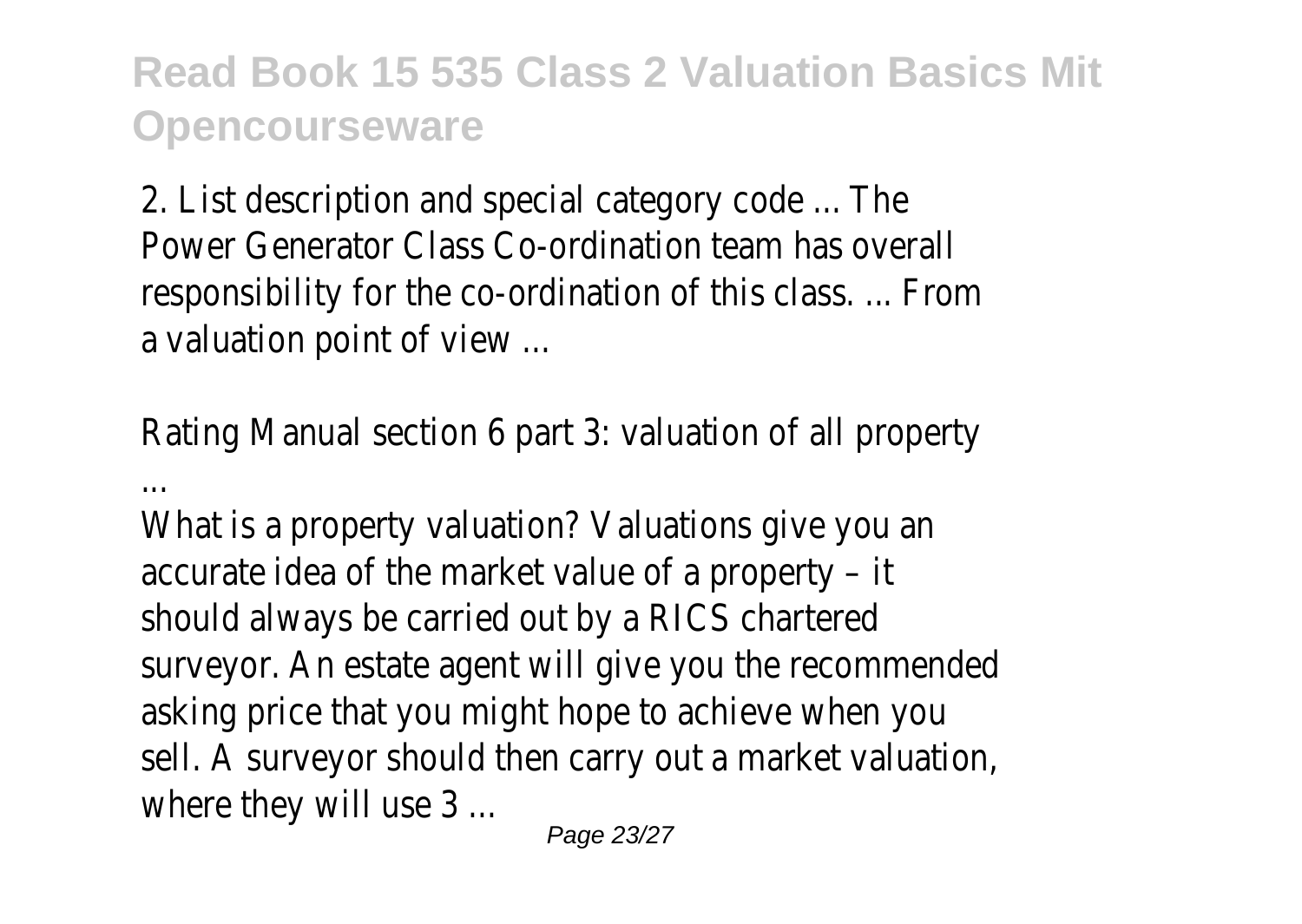2. List description and special category code ... The Power Generator Class Co-ordination team has overall responsibility for the co-ordination of this class. ... From a valuation point of view ...

Rating Manual section 6 part 3: valuation of all property

...

What is a property valuation? Valuations give you an accurate idea of the market value of a property – it should always be carried out by a RICS chartered surveyor. An estate agent will give you the recommended asking price that you might hope to achieve when you sell. A surveyor should then carry out a market valuation, where they will use 3 ...

Page 23/27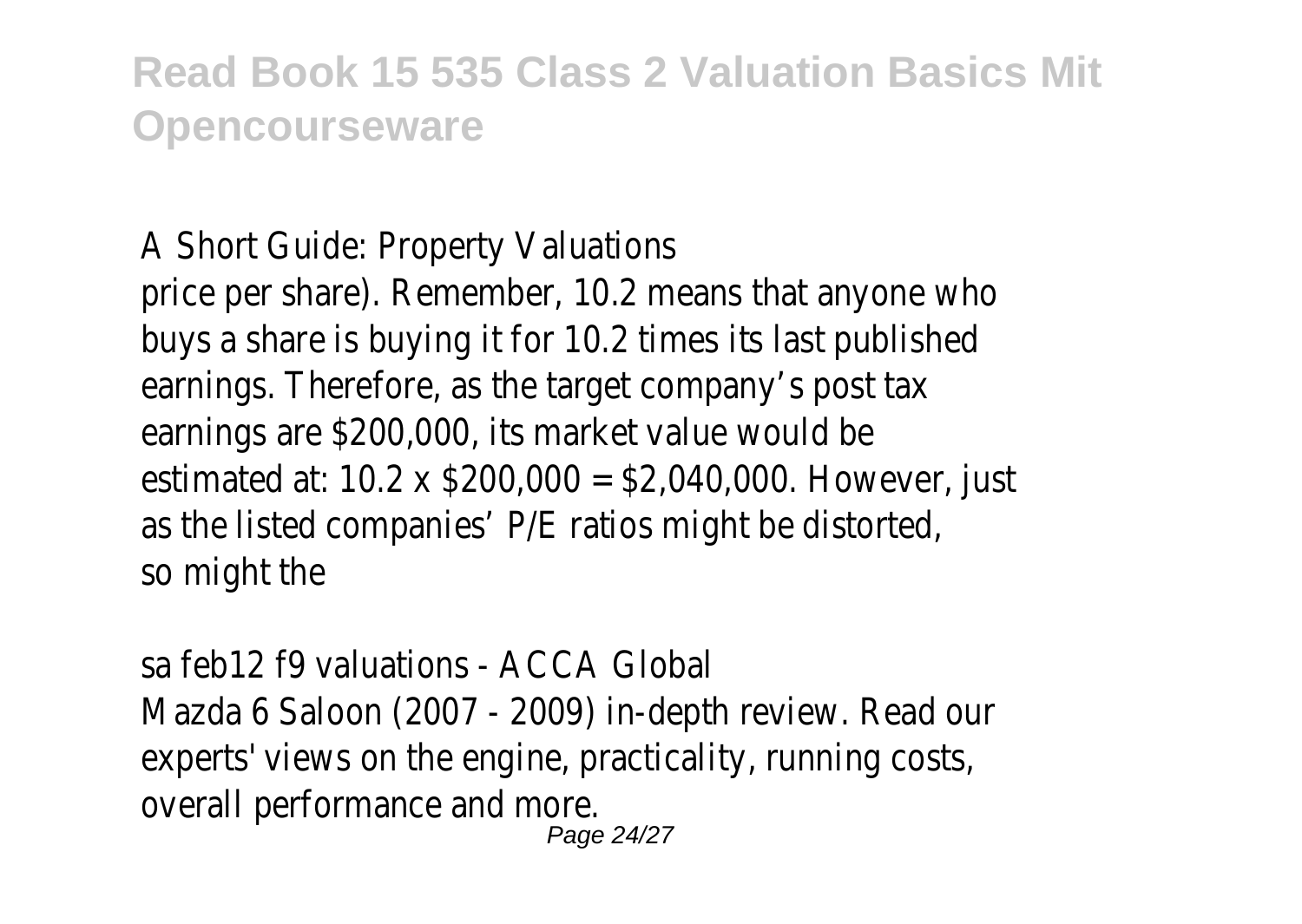#### A Short Guide: Property Valuations

price per share). Remember, 10.2 means that anyone who buys a share is buying it for 10.2 times its last published earnings. Therefore, as the target company's post tax earnings are \$200,000, its market value would be estimated at: 10.2 x \$200,000 = \$2,040,000. However, just as the listed companies' P/E ratios might be distorted, so might the

sa feb12 f9 valuations - ACCA Global Mazda 6 Saloon (2007 - 2009) in-depth review. Read our experts' views on the engine, practicality, running costs, overall performance and more.

Page 24/27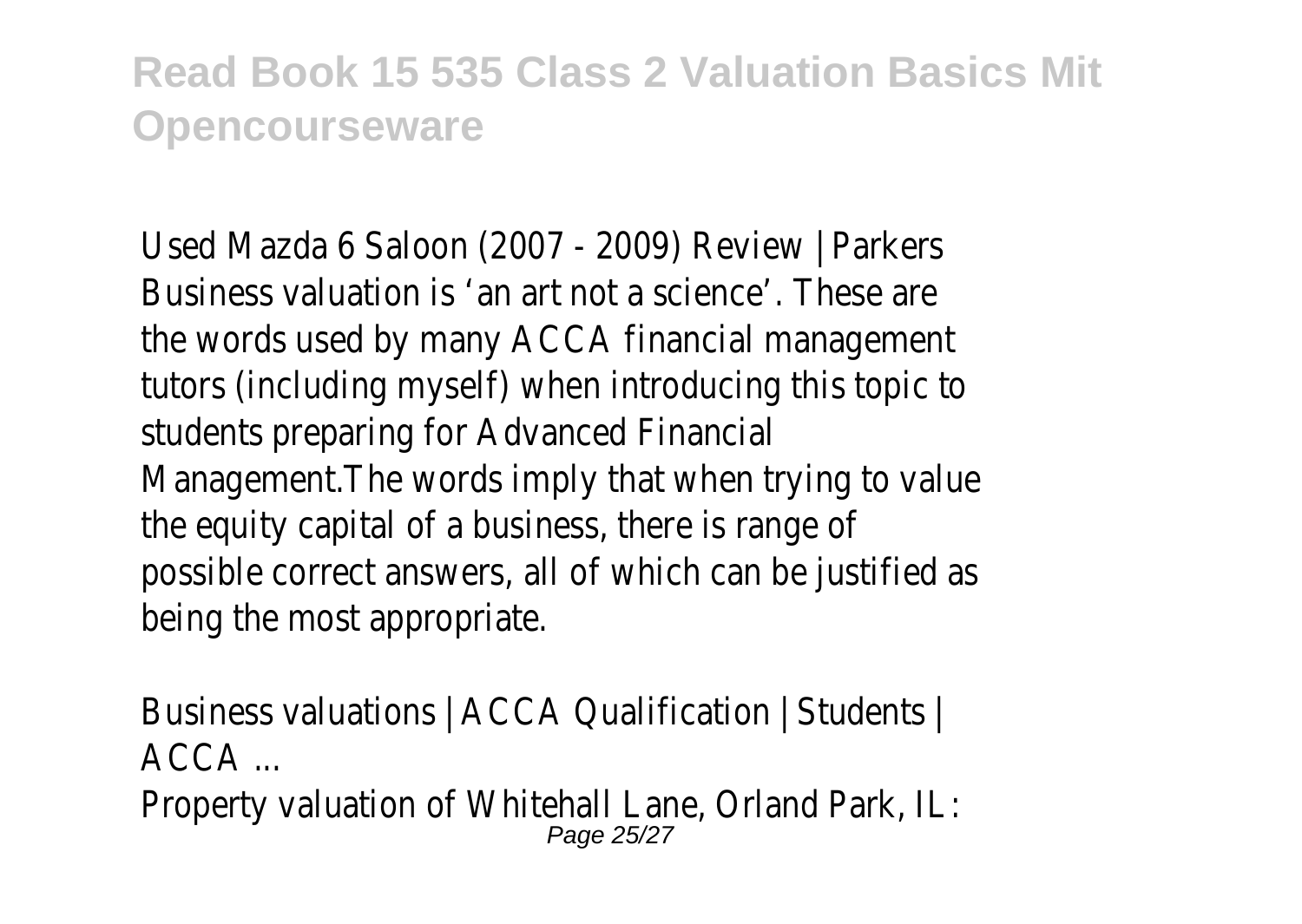Used Mazda 6 Saloon (2007 - 2009) Review | Parkers Business valuation is 'an art not a science'. These are the words used by many ACCA financial management tutors (including myself) when introducing this topic to students preparing for Advanced Financial Management.The words imply that when trying to value the equity capital of a business, there is range of possible correct answers, all of which can be justified as being the most appropriate.

Business valuations | ACCA Qualification | Students | ACCA ...

Property valuation of Whitehall Lane, Orland Park, IL: Page 25/27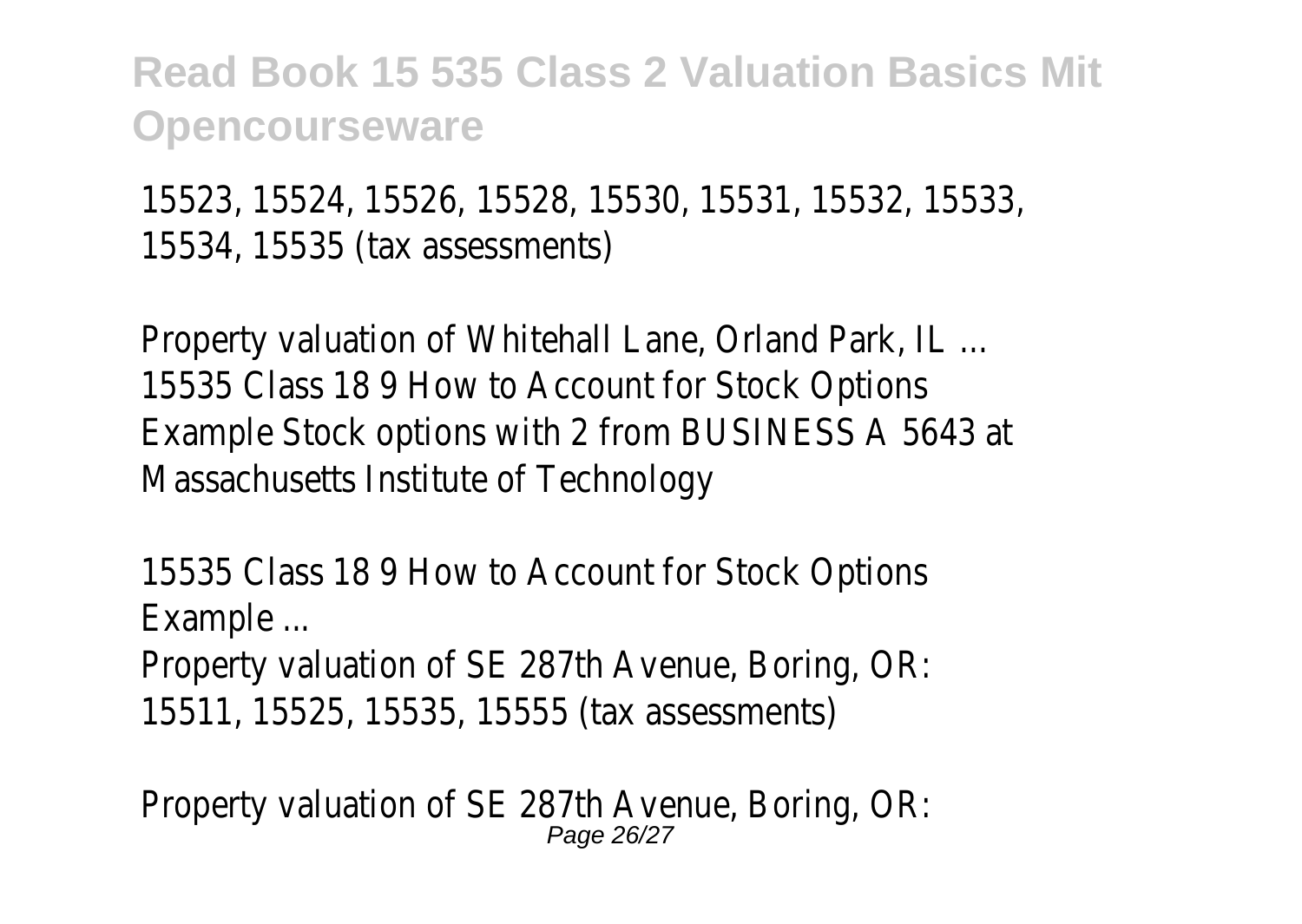15523, 15524, 15526, 15528, 15530, 15531, 15532, 15533, 15534, 15535 (tax assessments)

Property valuation of Whitehall Lane, Orland Park, IL ... 15535 Class 18 9 How to Account for Stock Options Example Stock options with 2 from BUSINESS A 5643 at Massachusetts Institute of Technology

15535 Class 18 9 How to Account for Stock Options Example ...

Property valuation of SE 287th Avenue, Boring, OR: 15511, 15525, 15535, 15555 (tax assessments)

Property valuation of SE 287th Avenue, Boring, OR: Page 26/27